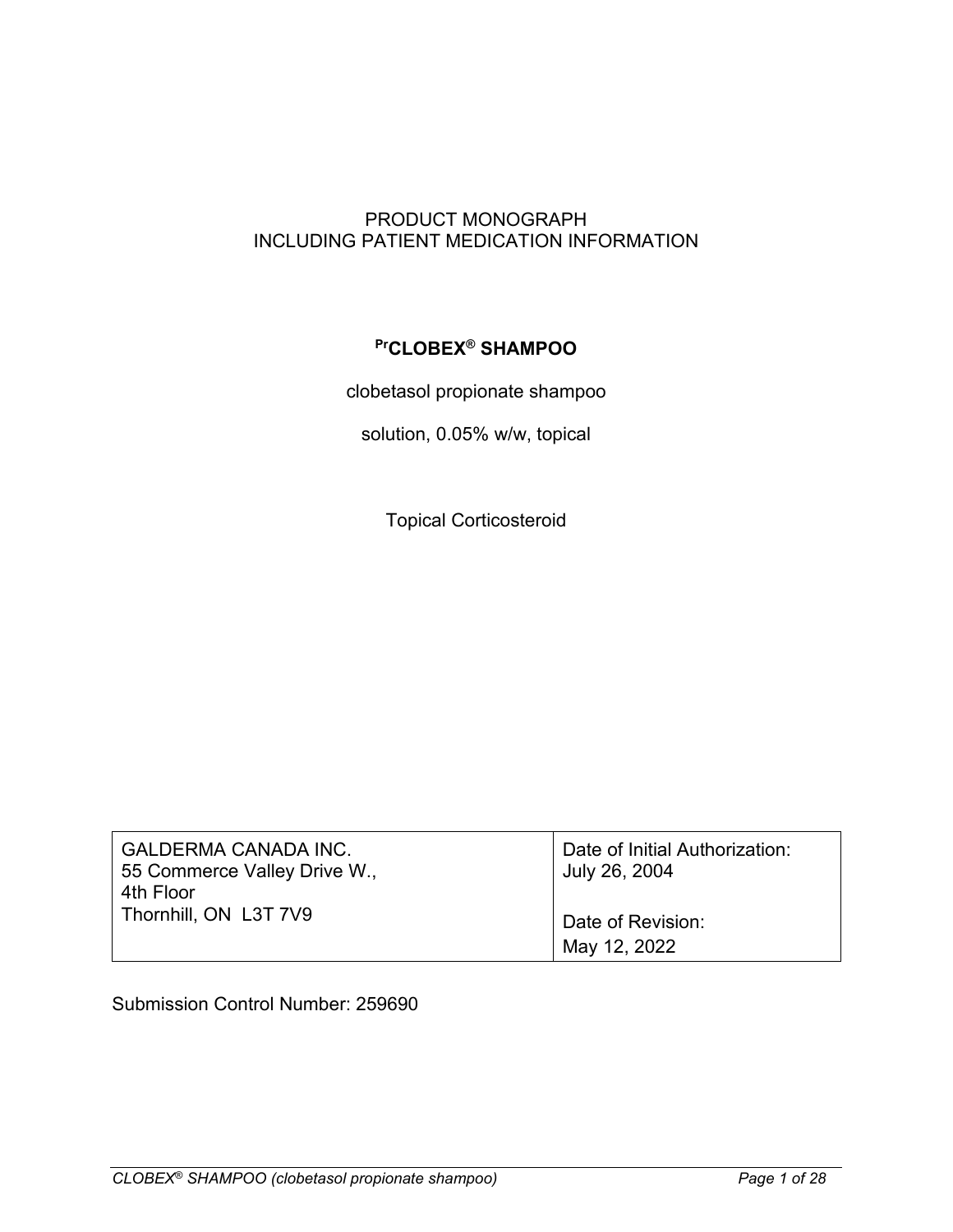### PRODUCT MONOGRAPH INCLUDING PATIENT MEDICATION INFORMATION

### **PrCLOBEX® SHAMPOO**

clobetasol propionate shampoo

solution, 0.05% w/w, topical

Topical Corticosteroid

| <b>GALDERMA CANADA INC.</b><br>55 Commerce Valley Drive W., | Date of Initial Authorization:<br>July 26, 2004 |
|-------------------------------------------------------------|-------------------------------------------------|
| 4th Floor<br>Thornhill, ON L3T 7V9                          | Date of Revision:                               |
|                                                             |                                                 |
|                                                             | May 12, 2022                                    |

Submission Control Number: 259690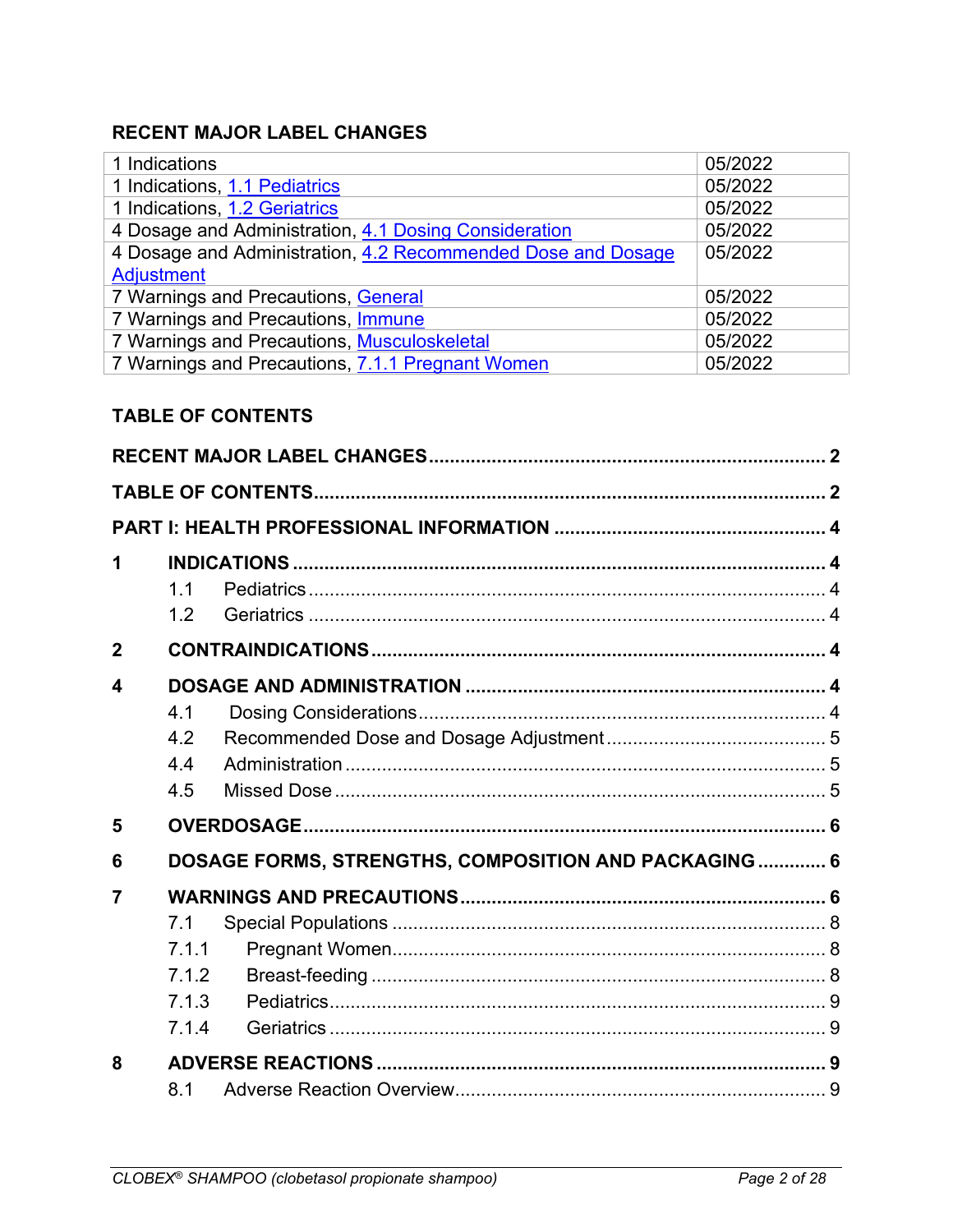# <span id="page-1-0"></span>**RECENT MAJOR LABEL CHANGES**

| 1 Indications                                                | 05/2022 |
|--------------------------------------------------------------|---------|
| 1 Indications, 1.1 Pediatrics                                | 05/2022 |
| 1 Indications, 1.2 Geriatrics                                | 05/2022 |
| 4 Dosage and Administration, 4.1 Dosing Consideration        | 05/2022 |
| 4 Dosage and Administration, 4.2 Recommended Dose and Dosage | 05/2022 |
| <b>Adjustment</b>                                            |         |
| 7 Warnings and Precautions, General                          | 05/2022 |
| 7 Warnings and Precautions, Immune                           | 05/2022 |
| 7 Warnings and Precautions, Musculoskeletal                  | 05/2022 |
| 7 Warnings and Precautions, 7.1.1 Pregnant Women             | 05/2022 |

# <span id="page-1-1"></span>**TABLE OF CONTENTS**

| 1                      |                |                                                      |  |
|------------------------|----------------|------------------------------------------------------|--|
|                        | 1 <sub>1</sub> |                                                      |  |
|                        | 1.2            |                                                      |  |
| $\overline{2}$         |                |                                                      |  |
| $\boldsymbol{\Lambda}$ |                |                                                      |  |
|                        | 4.1            |                                                      |  |
|                        | 4.2            |                                                      |  |
|                        | 4.4            |                                                      |  |
|                        | 4.5            |                                                      |  |
| 5                      |                |                                                      |  |
| 6                      |                | DOSAGE FORMS, STRENGTHS, COMPOSITION AND PACKAGING 6 |  |
| 7                      |                |                                                      |  |
|                        | 7.1            |                                                      |  |
|                        | 7.1.1          |                                                      |  |
|                        | 7.1.2          |                                                      |  |
|                        | 7.1.3          |                                                      |  |
|                        | 7.1.4          |                                                      |  |
| 8                      |                |                                                      |  |
|                        | 8.1            |                                                      |  |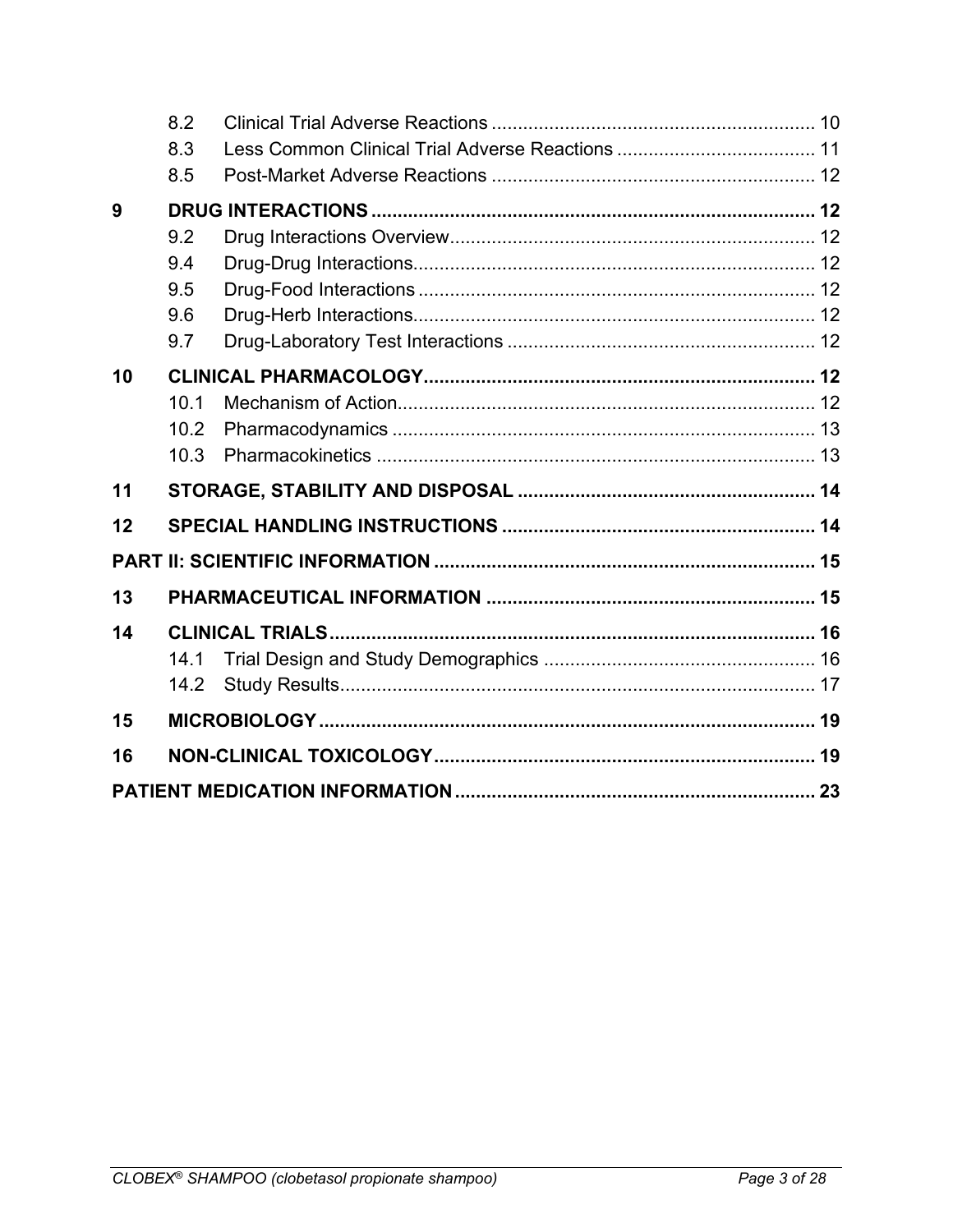|    | 8.2  |  |
|----|------|--|
|    | 8.3  |  |
|    | 8.5  |  |
| 9  |      |  |
|    | 9.2  |  |
|    | 9.4  |  |
|    | 9.5  |  |
|    | 9.6  |  |
|    | 9.7  |  |
| 10 |      |  |
|    | 10.1 |  |
|    | 10.2 |  |
|    | 10.3 |  |
| 11 |      |  |
| 12 |      |  |
|    |      |  |
| 13 |      |  |
| 14 |      |  |
|    | 14.1 |  |
|    | 14.2 |  |
| 15 |      |  |
| 16 |      |  |
|    |      |  |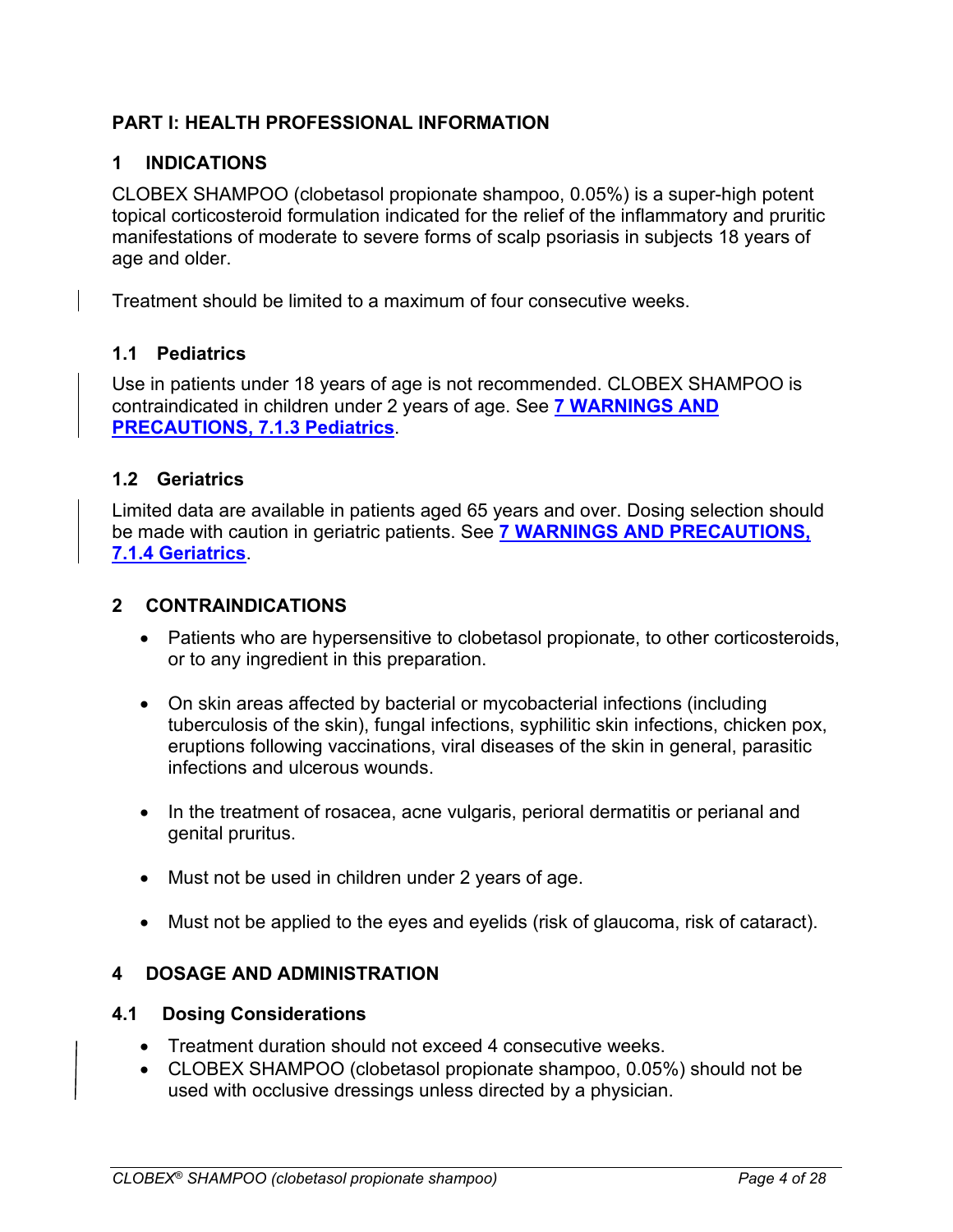### <span id="page-3-3"></span>**PART I: HEALTH PROFESSIONAL INFORMATION**

### <span id="page-3-4"></span>**1 INDICATIONS**

CLOBEX SHAMPOO (clobetasol propionate shampoo, 0.05%) is a super-high potent topical corticosteroid formulation indicated for the relief of the inflammatory and pruritic manifestations of moderate to severe forms of scalp psoriasis in subjects 18 years of age and older.

Treatment should be limited to a maximum of four consecutive weeks.

#### <span id="page-3-0"></span>**1.1 Pediatrics**

Use in patients under 18 years of age is not recommended. CLOBEX SHAMPOO is contraindicated in children under 2 years of age. See **[7 WARNINGS AND](#page-8-0)  [PRECAUTIONS, 7.1.3 Pediatrics](#page-8-0)**.

#### <span id="page-3-1"></span>**1.2 Geriatrics**

Limited data are available in patients aged 65 years and over. Dosing selection should be made with caution in geriatric patients. See **[7 WARNINGS AND PRECAUTIONS,](#page-8-1)  [7.1.4 Geriatrics](#page-8-1)**.

#### <span id="page-3-5"></span>**2 CONTRAINDICATIONS**

- Patients who are hypersensitive to clobetasol propionate, to other corticosteroids, or to any ingredient in this preparation.
- On skin areas affected by bacterial or mycobacterial infections (including tuberculosis of the skin), fungal infections, syphilitic skin infections, chicken pox, eruptions following vaccinations, viral diseases of the skin in general, parasitic infections and ulcerous wounds.
- In the treatment of rosacea, acne vulgaris, perioral dermatitis or perianal and genital pruritus.
- Must not be used in children under 2 years of age.
- Must not be applied to the eyes and eyelids (risk of glaucoma, risk of cataract).

#### <span id="page-3-6"></span>**4 DOSAGE AND ADMINISTRATION**

#### <span id="page-3-2"></span>**4.1 Dosing Considerations**

- Treatment duration should not exceed 4 consecutive weeks.
- CLOBEX SHAMPOO (clobetasol propionate shampoo, 0.05%) should not be used with occlusive dressings unless directed by a physician.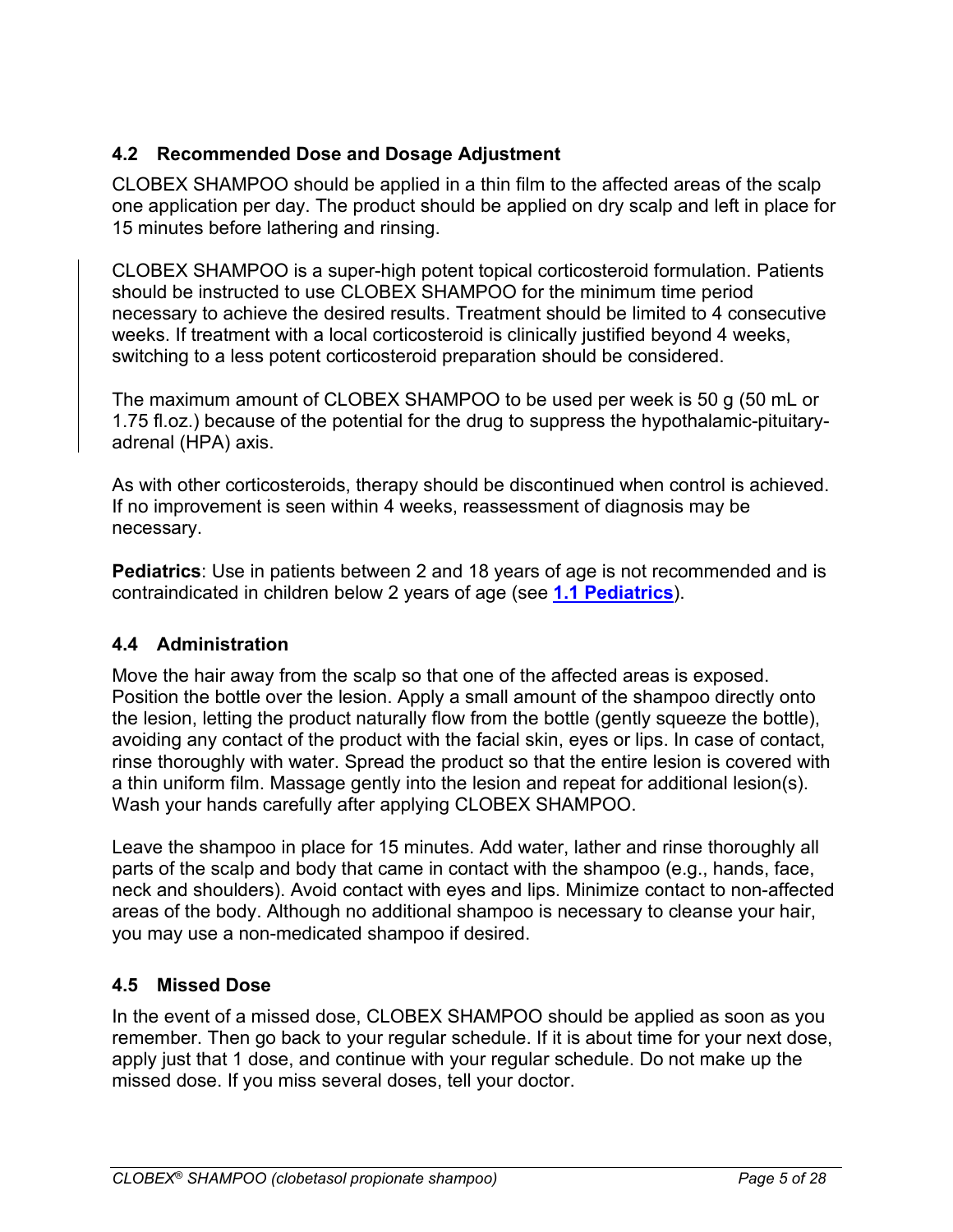# <span id="page-4-0"></span>**4.2 Recommended Dose and Dosage Adjustment**

CLOBEX SHAMPOO should be applied in a thin film to the affected areas of the scalp one application per day. The product should be applied on dry scalp and left in place for 15 minutes before lathering and rinsing.

CLOBEX SHAMPOO is a super-high potent topical corticosteroid formulation. Patients should be instructed to use CLOBEX SHAMPOO for the minimum time period necessary to achieve the desired results. Treatment should be limited to 4 consecutive weeks. If treatment with a local corticosteroid is clinically justified beyond 4 weeks, switching to a less potent corticosteroid preparation should be considered.

The maximum amount of CLOBEX SHAMPOO to be used per week is 50 g (50 mL or 1.75 fl.oz.) because of the potential for the drug to suppress the hypothalamic-pituitaryadrenal (HPA) axis.

As with other corticosteroids, therapy should be discontinued when control is achieved. If no improvement is seen within 4 weeks, reassessment of diagnosis may be necessary.

**Pediatrics**: Use in patients between 2 and 18 years of age is not recommended and is contraindicated in children below 2 years of age (see **[1.1 Pediatrics](#page-3-0)**).

### <span id="page-4-1"></span>**4.4 Administration**

Move the hair away from the scalp so that one of the affected areas is exposed. Position the bottle over the lesion. Apply a small amount of the shampoo directly onto the lesion, letting the product naturally flow from the bottle (gently squeeze the bottle), avoiding any contact of the product with the facial skin, eyes or lips. In case of contact, rinse thoroughly with water. Spread the product so that the entire lesion is covered with a thin uniform film. Massage gently into the lesion and repeat for additional lesion(s). Wash your hands carefully after applying CLOBEX SHAMPOO.

Leave the shampoo in place for 15 minutes. Add water, lather and rinse thoroughly all parts of the scalp and body that came in contact with the shampoo (e.g., hands, face, neck and shoulders). Avoid contact with eyes and lips. Minimize contact to non-affected areas of the body. Although no additional shampoo is necessary to cleanse your hair, you may use a non-medicated shampoo if desired.

### <span id="page-4-2"></span>**4.5 Missed Dose**

In the event of a missed dose, CLOBEX SHAMPOO should be applied as soon as you remember. Then go back to your regular schedule. If it is about time for your next dose, apply just that 1 dose, and continue with your regular schedule. Do not make up the missed dose. If you miss several doses, tell your doctor.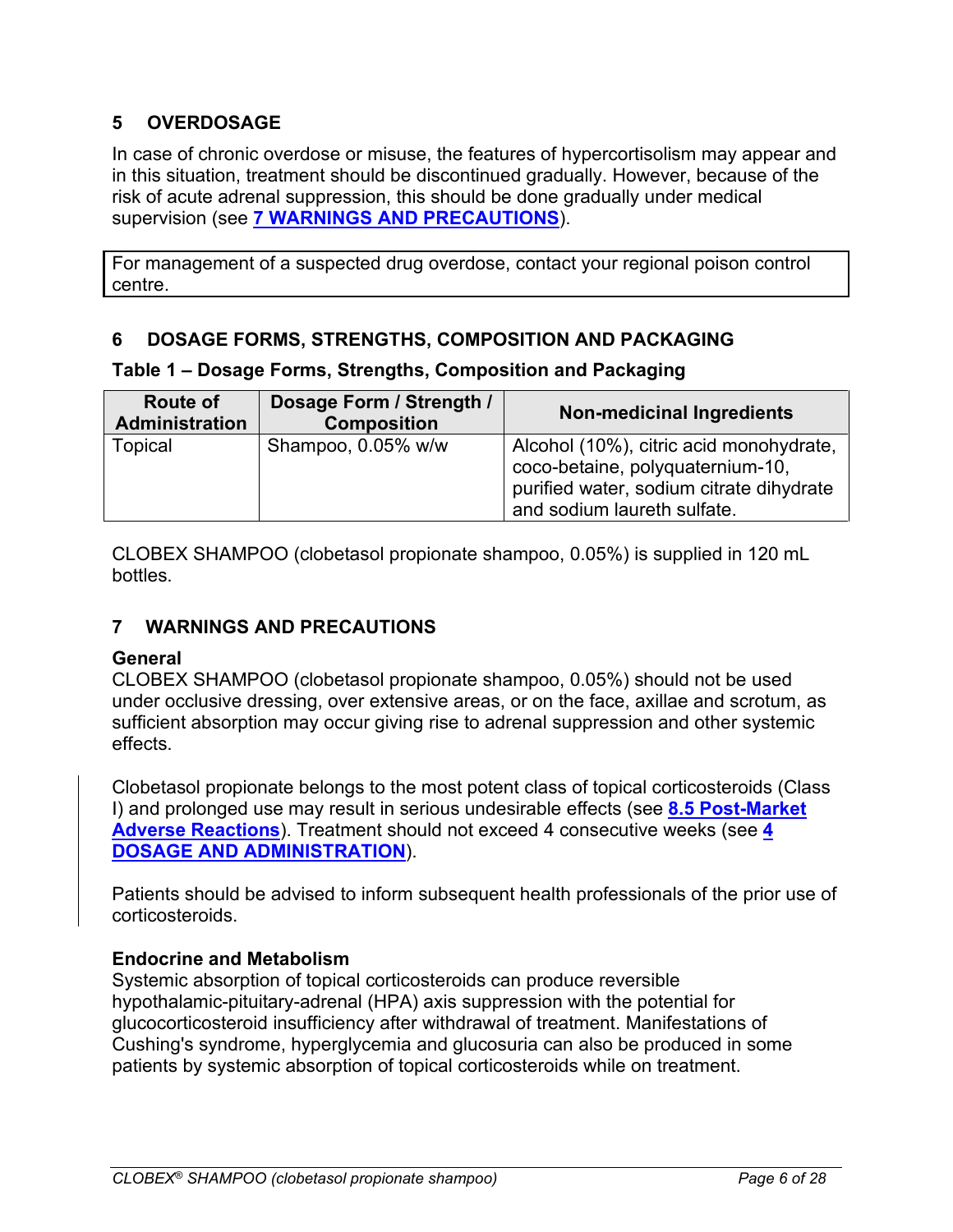# <span id="page-5-1"></span>**5 OVERDOSAGE**

In case of chronic overdose or misuse, the features of hypercortisolism may appear and in this situation, treatment should be discontinued gradually. However, because of the risk of acute adrenal suppression, this should be done gradually under medical supervision (see **[7 WARNINGS AND](#page-5-3) PRECAUTIONS**).

For management of a suspected drug overdose, contact your regional poison control centre.

### <span id="page-5-2"></span>**6 DOSAGE FORMS, STRENGTHS, COMPOSITION AND PACKAGING**

#### **Table 1 – Dosage Forms, Strengths, Composition and Packaging**

| <b>Route of</b><br><b>Administration</b> | Dosage Form / Strength /<br><b>Composition</b> | <b>Non-medicinal Ingredients</b>                                                                                                                       |
|------------------------------------------|------------------------------------------------|--------------------------------------------------------------------------------------------------------------------------------------------------------|
| Topical                                  | Shampoo, 0.05% w/w                             | Alcohol (10%), citric acid monohydrate,<br>coco-betaine, polyquaternium-10,<br>purified water, sodium citrate dihydrate<br>and sodium laureth sulfate. |

CLOBEX SHAMPOO (clobetasol propionate shampoo, 0.05%) is supplied in 120 mL bottles.

### <span id="page-5-3"></span>**7 WARNINGS AND PRECAUTIONS**

#### <span id="page-5-0"></span>**General**

CLOBEX SHAMPOO (clobetasol propionate shampoo, 0.05%) should not be used under occlusive dressing, over extensive areas, or on the face, axillae and scrotum, as sufficient absorption may occur giving rise to adrenal suppression and other systemic effects.

Clobetasol propionate belongs to the most potent class of topical corticosteroids (Class I) and prolonged use may result in serious undesirable effects (see **[8.5 Post-Market](#page-11-0)  [Adverse Reactions](#page-11-0)**). Treatment should not exceed 4 consecutive weeks (see **[4](#page-3-6)  [DOSAGE AND ADMINISTRATION](#page-3-6)**).

Patients should be advised to inform subsequent health professionals of the prior use of corticosteroids.

#### **Endocrine and Metabolism**

Systemic absorption of topical corticosteroids can produce reversible hypothalamic-pituitary-adrenal (HPA) axis suppression with the potential for glucocorticosteroid insufficiency after withdrawal of treatment. Manifestations of Cushing's syndrome, hyperglycemia and glucosuria can also be produced in some patients by systemic absorption of topical corticosteroids while on treatment.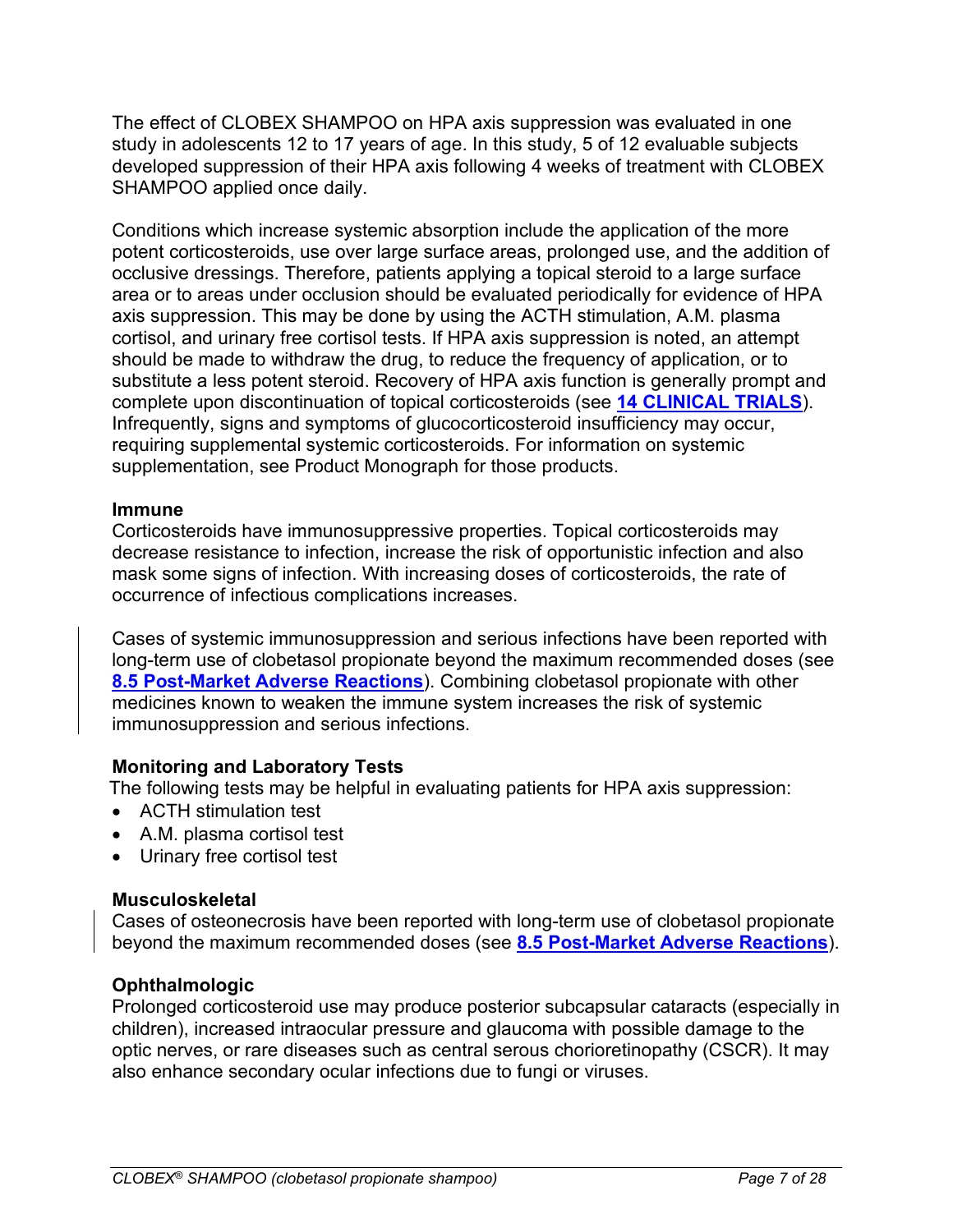The effect of CLOBEX SHAMPOO on HPA axis suppression was evaluated in one study in adolescents 12 to 17 years of age. In this study, 5 of 12 evaluable subjects developed suppression of their HPA axis following 4 weeks of treatment with CLOBEX SHAMPOO applied once daily.

Conditions which increase systemic absorption include the application of the more potent corticosteroids, use over large surface areas, prolonged use, and the addition of occlusive dressings. Therefore, patients applying a topical steroid to a large surface area or to areas under occlusion should be evaluated periodically for evidence of HPA axis suppression. This may be done by using the ACTH stimulation, A.M. plasma cortisol, and urinary free cortisol tests. If HPA axis suppression is noted, an attempt should be made to withdraw the drug, to reduce the frequency of application, or to substitute a less potent steroid. Recovery of HPA axis function is generally prompt and complete upon discontinuation of topical corticosteroids (see **[14 CLINICAL TRIALS](#page-15-0)**). Infrequently, signs and symptoms of glucocorticosteroid insufficiency may occur, requiring supplemental systemic corticosteroids. For information on systemic supplementation, see Product Monograph for those products.

#### <span id="page-6-0"></span>**Immune**

Corticosteroids have immunosuppressive properties. Topical corticosteroids may decrease resistance to infection, increase the risk of opportunistic infection and also mask some signs of infection. With increasing doses of corticosteroids, the rate of occurrence of infectious complications increases.

Cases of systemic immunosuppression and serious infections have been reported with long-term use of clobetasol propionate beyond the maximum recommended doses (see **[8.5 Post-Market Adverse Reactions](#page-11-0)**). Combining clobetasol propionate with other medicines known to weaken the immune system increases the risk of systemic immunosuppression and serious infections.

### **Monitoring and Laboratory Tests**

The following tests may be helpful in evaluating patients for HPA axis suppression:

- ACTH stimulation test
- A.M. plasma cortisol test
- Urinary free cortisol test

#### <span id="page-6-1"></span>**Musculoskeletal**

Cases of osteonecrosis have been reported with long-term use of clobetasol propionate beyond the maximum recommended doses (see **[8.5 Post-Market Adverse Reactions](#page-11-0)**).

#### **Ophthalmologic**

Prolonged corticosteroid use may produce posterior subcapsular cataracts (especially in children), increased intraocular pressure and glaucoma with possible damage to the optic nerves, or rare diseases such as central serous chorioretinopathy (CSCR). It may also enhance secondary ocular infections due to fungi or viruses.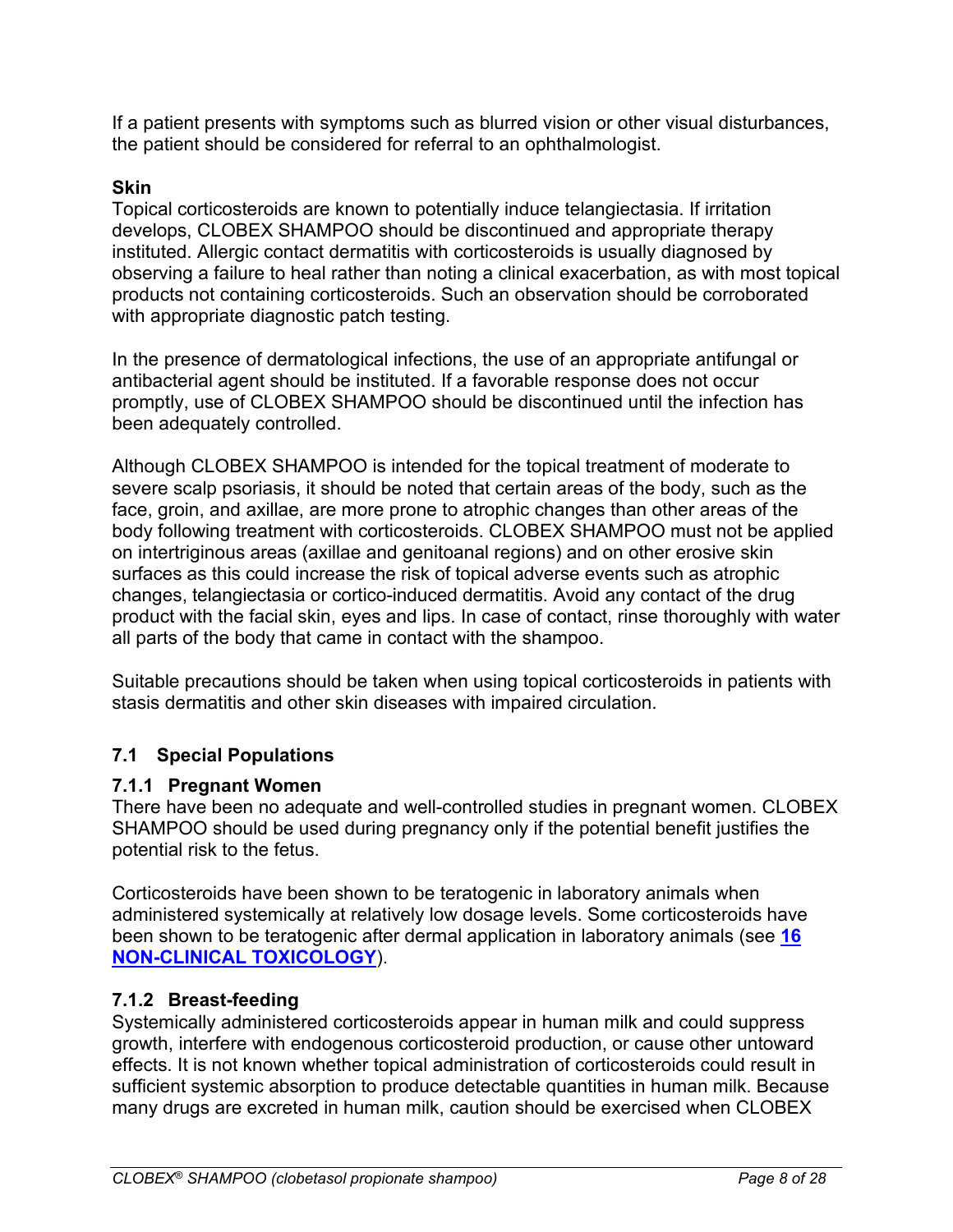If a patient presents with symptoms such as blurred vision or other visual disturbances, the patient should be considered for referral to an ophthalmologist.

### **Skin**

Topical corticosteroids are known to potentially induce telangiectasia. If irritation develops, CLOBEX SHAMPOO should be discontinued and appropriate therapy instituted. Allergic contact dermatitis with corticosteroids is usually diagnosed by observing a failure to heal rather than noting a clinical exacerbation, as with most topical products not containing corticosteroids. Such an observation should be corroborated with appropriate diagnostic patch testing.

In the presence of dermatological infections, the use of an appropriate antifungal or antibacterial agent should be instituted. If a favorable response does not occur promptly, use of CLOBEX SHAMPOO should be discontinued until the infection has been adequately controlled.

Although CLOBEX SHAMPOO is intended for the topical treatment of moderate to severe scalp psoriasis, it should be noted that certain areas of the body, such as the face, groin, and axillae, are more prone to atrophic changes than other areas of the body following treatment with corticosteroids. CLOBEX SHAMPOO must not be applied on intertriginous areas (axillae and genitoanal regions) and on other erosive skin surfaces as this could increase the risk of topical adverse events such as atrophic changes, telangiectasia or cortico-induced dermatitis. Avoid any contact of the drug product with the facial skin, eyes and lips. In case of contact, rinse thoroughly with water all parts of the body that came in contact with the shampoo.

Suitable precautions should be taken when using topical corticosteroids in patients with stasis dermatitis and other skin diseases with impaired circulation.

# <span id="page-7-1"></span>**7.1 Special Populations**

# <span id="page-7-0"></span>**7.1.1 Pregnant Women**

There have been no adequate and well-controlled studies in pregnant women. CLOBEX SHAMPOO should be used during pregnancy only if the potential benefit justifies the potential risk to the fetus.

Corticosteroids have been shown to be teratogenic in laboratory animals when administered systemically at relatively low dosage levels. Some corticosteroids have been shown to be teratogenic after dermal application in laboratory animals (see **[16](#page-18-1)  [NON-CLINICAL TOXICOLOGY](#page-18-1)**).

### <span id="page-7-2"></span>**7.1.2 Breast-feeding**

Systemically administered corticosteroids appear in human milk and could suppress growth, interfere with endogenous corticosteroid production, or cause other untoward effects. It is not known whether topical administration of corticosteroids could result in sufficient systemic absorption to produce detectable quantities in human milk. Because many drugs are excreted in human milk, caution should be exercised when CLOBEX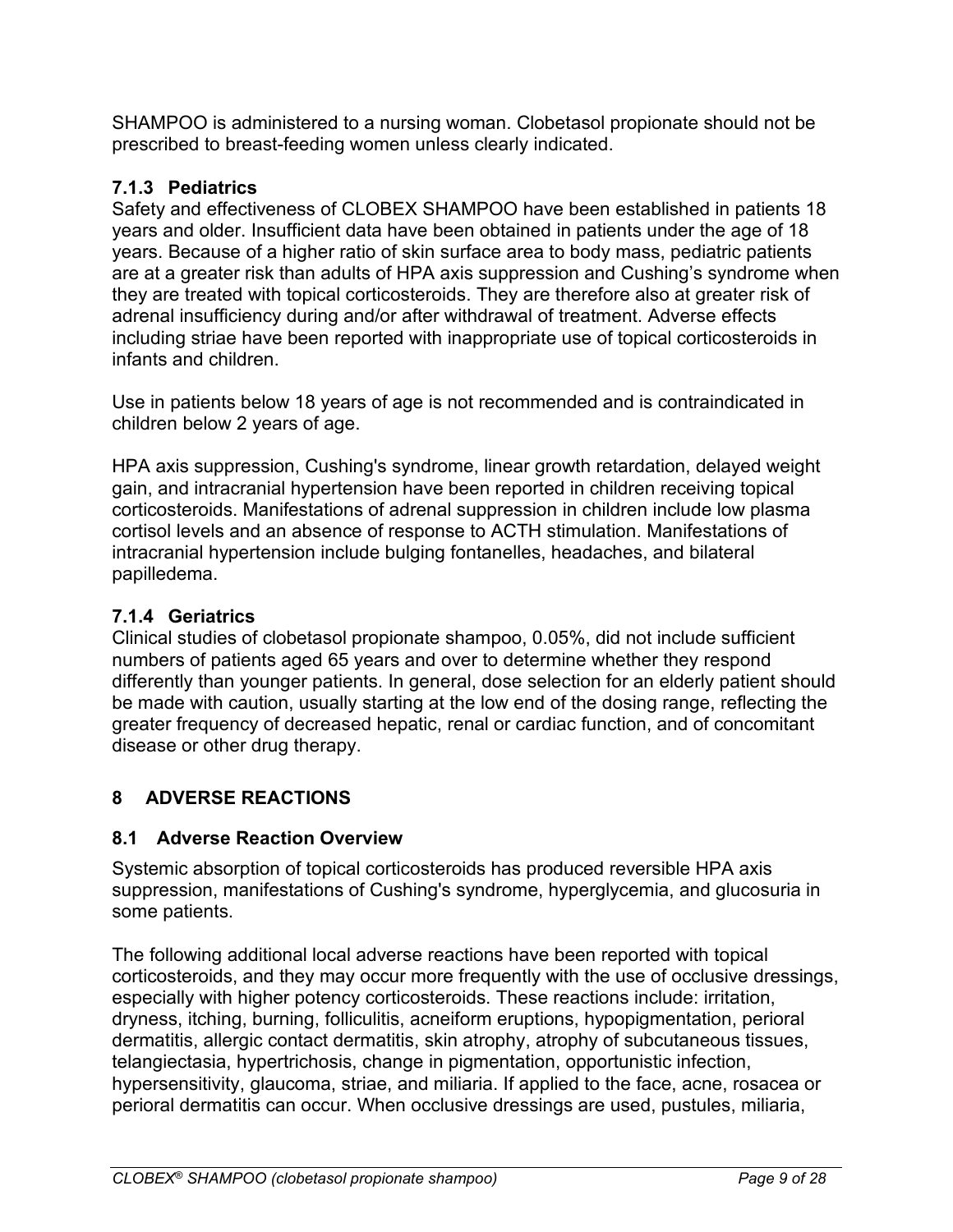SHAMPOO is administered to a nursing woman. Clobetasol propionate should not be prescribed to breast-feeding women unless clearly indicated.

# <span id="page-8-0"></span>**7.1.3 Pediatrics**

Safety and effectiveness of CLOBEX SHAMPOO have been established in patients 18 years and older. Insufficient data have been obtained in patients under the age of 18 years. Because of a higher ratio of skin surface area to body mass, pediatric patients are at a greater risk than adults of HPA axis suppression and Cushing's syndrome when they are treated with topical corticosteroids. They are therefore also at greater risk of adrenal insufficiency during and/or after withdrawal of treatment. Adverse effects including striae have been reported with inappropriate use of topical corticosteroids in infants and children.

Use in patients below 18 years of age is not recommended and is contraindicated in children below 2 years of age.

HPA axis suppression, Cushing's syndrome, linear growth retardation, delayed weight gain, and intracranial hypertension have been reported in children receiving topical corticosteroids. Manifestations of adrenal suppression in children include low plasma cortisol levels and an absence of response to ACTH stimulation. Manifestations of intracranial hypertension include bulging fontanelles, headaches, and bilateral papilledema.

# <span id="page-8-1"></span>**7.1.4 Geriatrics**

Clinical studies of clobetasol propionate shampoo, 0.05%, did not include sufficient numbers of patients aged 65 years and over to determine whether they respond differently than younger patients. In general, dose selection for an elderly patient should be made with caution, usually starting at the low end of the dosing range, reflecting the greater frequency of decreased hepatic, renal or cardiac function, and of concomitant disease or other drug therapy.

# <span id="page-8-2"></span>**8 ADVERSE REACTIONS**

# <span id="page-8-3"></span>**8.1 Adverse Reaction Overview**

Systemic absorption of topical corticosteroids has produced reversible HPA axis suppression, manifestations of Cushing's syndrome, hyperglycemia, and glucosuria in some patients.

The following additional local adverse reactions have been reported with topical corticosteroids, and they may occur more frequently with the use of occlusive dressings, especially with higher potency corticosteroids. These reactions include: irritation, dryness, itching, burning, folliculitis, acneiform eruptions, hypopigmentation, perioral dermatitis, allergic contact dermatitis, skin atrophy, atrophy of subcutaneous tissues, telangiectasia, hypertrichosis, change in pigmentation, opportunistic infection, hypersensitivity, glaucoma, striae, and miliaria. If applied to the face, acne, rosacea or perioral dermatitis can occur. When occlusive dressings are used, pustules, miliaria,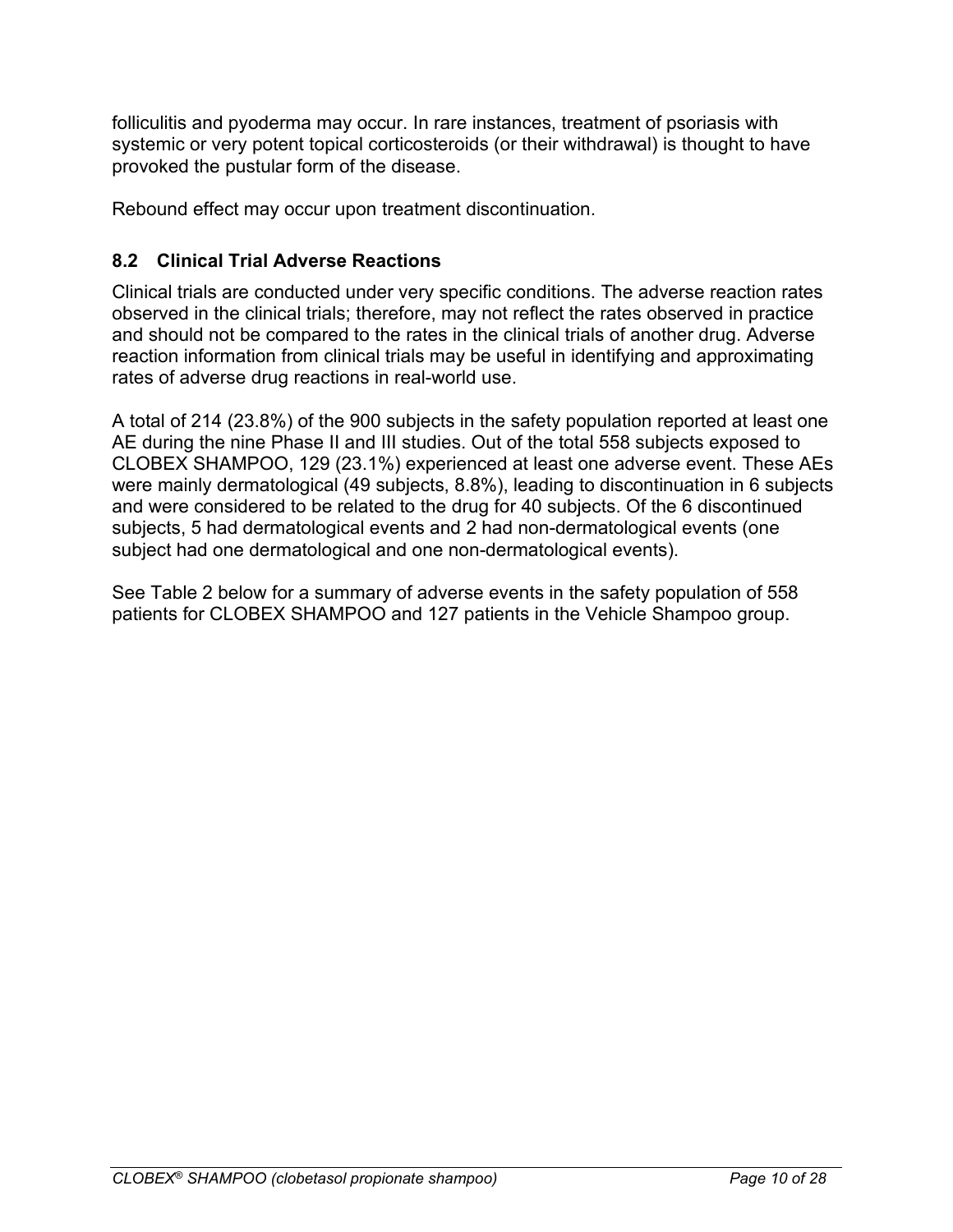folliculitis and pyoderma may occur. In rare instances, treatment of psoriasis with systemic or very potent topical corticosteroids (or their withdrawal) is thought to have provoked the pustular form of the disease.

Rebound effect may occur upon treatment discontinuation.

# <span id="page-9-0"></span>**8.2 Clinical Trial Adverse Reactions**

Clinical trials are conducted under very specific conditions. The adverse reaction rates observed in the clinical trials; therefore, may not reflect the rates observed in practice and should not be compared to the rates in the clinical trials of another drug. Adverse reaction information from clinical trials may be useful in identifying and approximating rates of adverse drug reactions in real-world use.

A total of 214 (23.8%) of the 900 subjects in the safety population reported at least one AE during the nine Phase II and III studies. Out of the total 558 subjects exposed to CLOBEX SHAMPOO, 129 (23.1%) experienced at least one adverse event. These AEs were mainly dermatological (49 subjects, 8.8%), leading to discontinuation in 6 subjects and were considered to be related to the drug for 40 subjects. Of the 6 discontinued subjects, 5 had dermatological events and 2 had non-dermatological events (one subject had one dermatological and one non-dermatological events).

<span id="page-9-1"></span>See [Table](#page-9-1) 2 below for a summary of adverse events in the safety population of 558 patients for CLOBEX SHAMPOO and 127 patients in the Vehicle Shampoo group.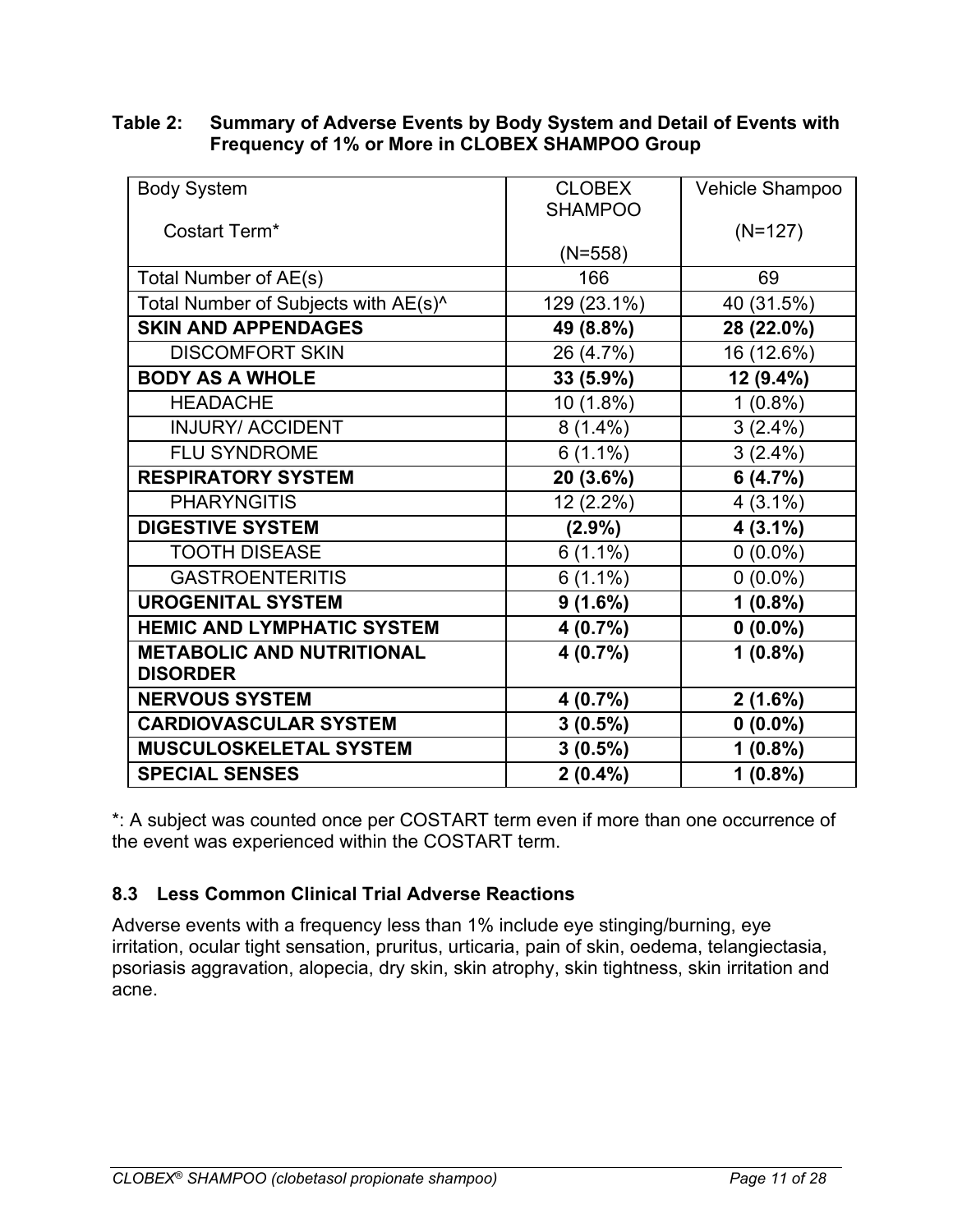#### **Table 2: Summary of Adverse Events by Body System and Detail of Events with Frequency of 1% or More in CLOBEX SHAMPOO Group**

| <b>Body System</b>                   | <b>CLOBEX</b><br><b>SHAMPOO</b> | Vehicle Shampoo |
|--------------------------------------|---------------------------------|-----------------|
| Costart Term*                        |                                 | $(N=127)$       |
|                                      | $(N=558)$                       |                 |
| Total Number of AE(s)                | 166                             | 69              |
| Total Number of Subjects with AE(s)^ | 129 (23.1%)                     | 40 (31.5%)      |
| <b>SKIN AND APPENDAGES</b>           | 49 (8.8%)                       | 28 (22.0%)      |
| <b>DISCOMFORT SKIN</b>               | 26 (4.7%)                       | 16 (12.6%)      |
| <b>BODY AS A WHOLE</b>               | 33 (5.9%)                       | 12 (9.4%)       |
| <b>HEADACHE</b>                      | 10 (1.8%)                       | $1(0.8\%)$      |
| <b>INJURY/ ACCIDENT</b>              | $8(1.4\%)$                      | $3(2.4\%)$      |
| <b>FLU SYNDROME</b>                  | $6(1.1\%)$                      | $3(2.4\%)$      |
| <b>RESPIRATORY SYSTEM</b>            | 20 (3.6%)                       | 6(4.7%)         |
| <b>PHARYNGITIS</b>                   | 12 (2.2%)                       | $4(3.1\%)$      |
| <b>DIGESTIVE SYSTEM</b>              | $(2.9\%)$                       | $4(3.1\%)$      |
| <b>TOOTH DISEASE</b>                 | $6(1.1\%)$                      | $0(0.0\%)$      |
| <b>GASTROENTERITIS</b>               | $6(1.1\%)$                      | $0(0.0\%)$      |
| <b>UROGENITAL SYSTEM</b>             | 9(1.6%)                         | $1(0.8\%)$      |
| <b>HEMIC AND LYMPHATIC SYSTEM</b>    | 4 (0.7%)                        | $0(0.0\%)$      |
| <b>METABOLIC AND NUTRITIONAL</b>     | 4(0.7%)                         | $1(0.8\%)$      |
| <b>DISORDER</b>                      |                                 |                 |
| <b>NERVOUS SYSTEM</b>                | 4(0.7%)                         | $2(1.6\%)$      |
| <b>CARDIOVASCULAR SYSTEM</b>         | $3(0.5\%)$                      | $0(0.0\%)$      |
| MUSCULOSKELETAL SYSTEM               | $3(0.5\%)$                      | $1(0.8\%)$      |
| <b>SPECIAL SENSES</b>                | $2(0.4\%)$                      | $1(0.8\%)$      |

\*: A subject was counted once per COSTART term even if more than one occurrence of the event was experienced within the COSTART term.

### <span id="page-10-0"></span>**8.3 Less Common Clinical Trial Adverse Reactions**

Adverse events with a frequency less than 1% include eye stinging/burning, eye irritation, ocular tight sensation, pruritus, urticaria, pain of skin, oedema, telangiectasia, psoriasis aggravation, alopecia, dry skin, skin atrophy, skin tightness, skin irritation and acne.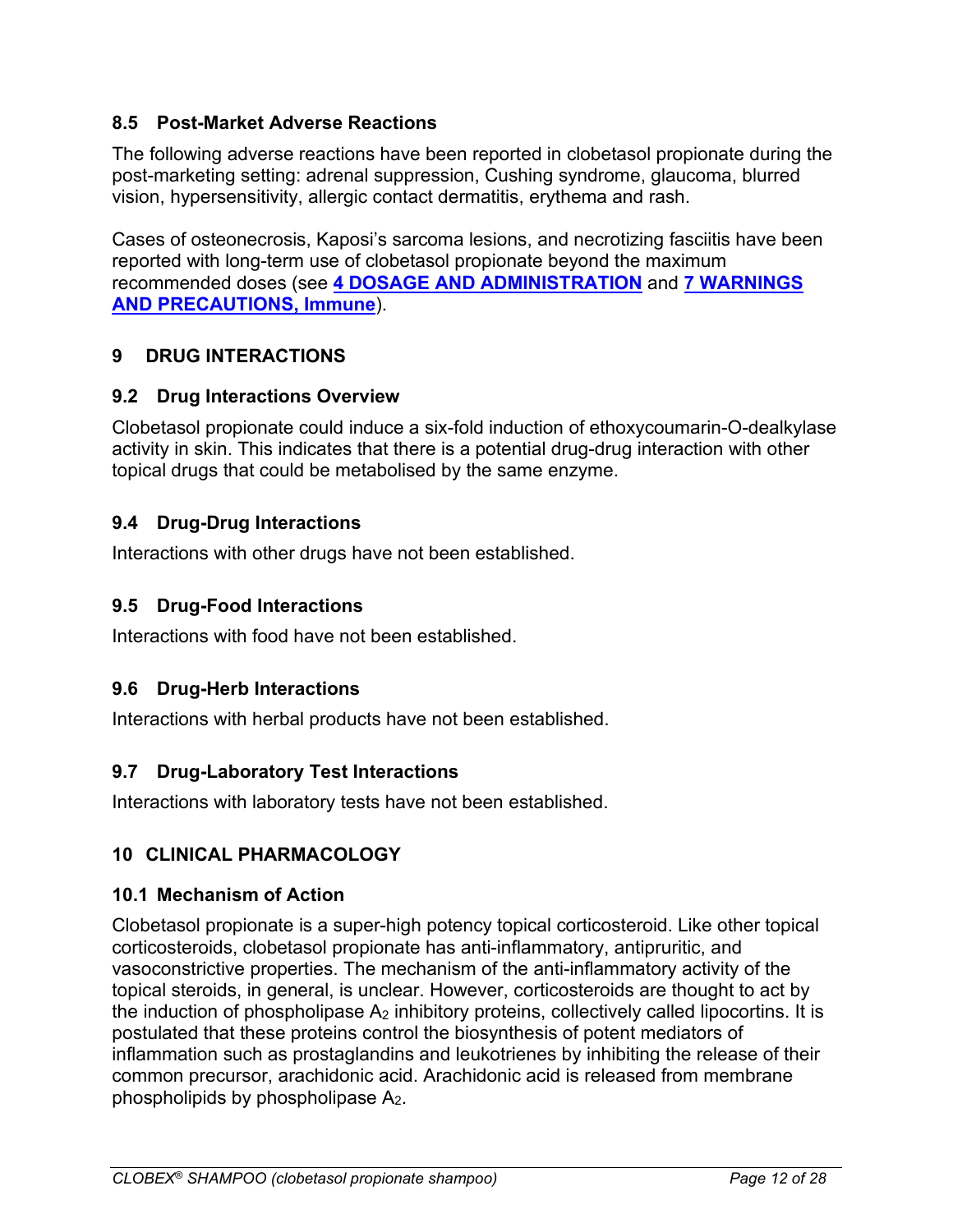### <span id="page-11-0"></span>**8.5 Post-Market Adverse Reactions**

The following adverse reactions have been reported in clobetasol propionate during the post-marketing setting: adrenal suppression, Cushing syndrome, glaucoma, blurred vision, hypersensitivity, allergic contact dermatitis, erythema and rash.

Cases of osteonecrosis, Kaposi's sarcoma lesions, and necrotizing fasciitis have been reported with long-term use of clobetasol propionate beyond the maximum recommended doses (see **[4 DOSAGE AND ADMINISTRATION](#page-3-6)** and **[7 WARNINGS](#page-6-0)  [AND PRECAUTIONS, Immune](#page-6-0)**).

### <span id="page-11-1"></span>**9 DRUG INTERACTIONS**

### <span id="page-11-2"></span>**9.2 Drug Interactions Overview**

Clobetasol propionate could induce a six-fold induction of ethoxycoumarin-O-dealkylase activity in skin. This indicates that there is a potential drug-drug interaction with other topical drugs that could be metabolised by the same enzyme.

### <span id="page-11-3"></span>**9.4 Drug-Drug Interactions**

Interactions with other drugs have not been established.

### <span id="page-11-4"></span>**9.5 Drug-Food Interactions**

Interactions with food have not been established.

### <span id="page-11-5"></span>**9.6 Drug-Herb Interactions**

Interactions with herbal products have not been established.

### <span id="page-11-6"></span>**9.7 Drug-Laboratory Test Interactions**

Interactions with laboratory tests have not been established.

# <span id="page-11-7"></span>**10 CLINICAL PHARMACOLOGY**

### <span id="page-11-8"></span>**10.1 Mechanism of Action**

Clobetasol propionate is a super-high potency topical corticosteroid. Like other topical corticosteroids, clobetasol propionate has anti-inflammatory, antipruritic, and vasoconstrictive properties. The mechanism of the anti-inflammatory activity of the topical steroids, in general, is unclear. However, corticosteroids are thought to act by the induction of phospholipase  $A_2$  inhibitory proteins, collectively called lipocortins. It is postulated that these proteins control the biosynthesis of potent mediators of inflammation such as prostaglandins and leukotrienes by inhibiting the release of their common precursor, arachidonic acid. Arachidonic acid is released from membrane phospholipids by phospholipase A2.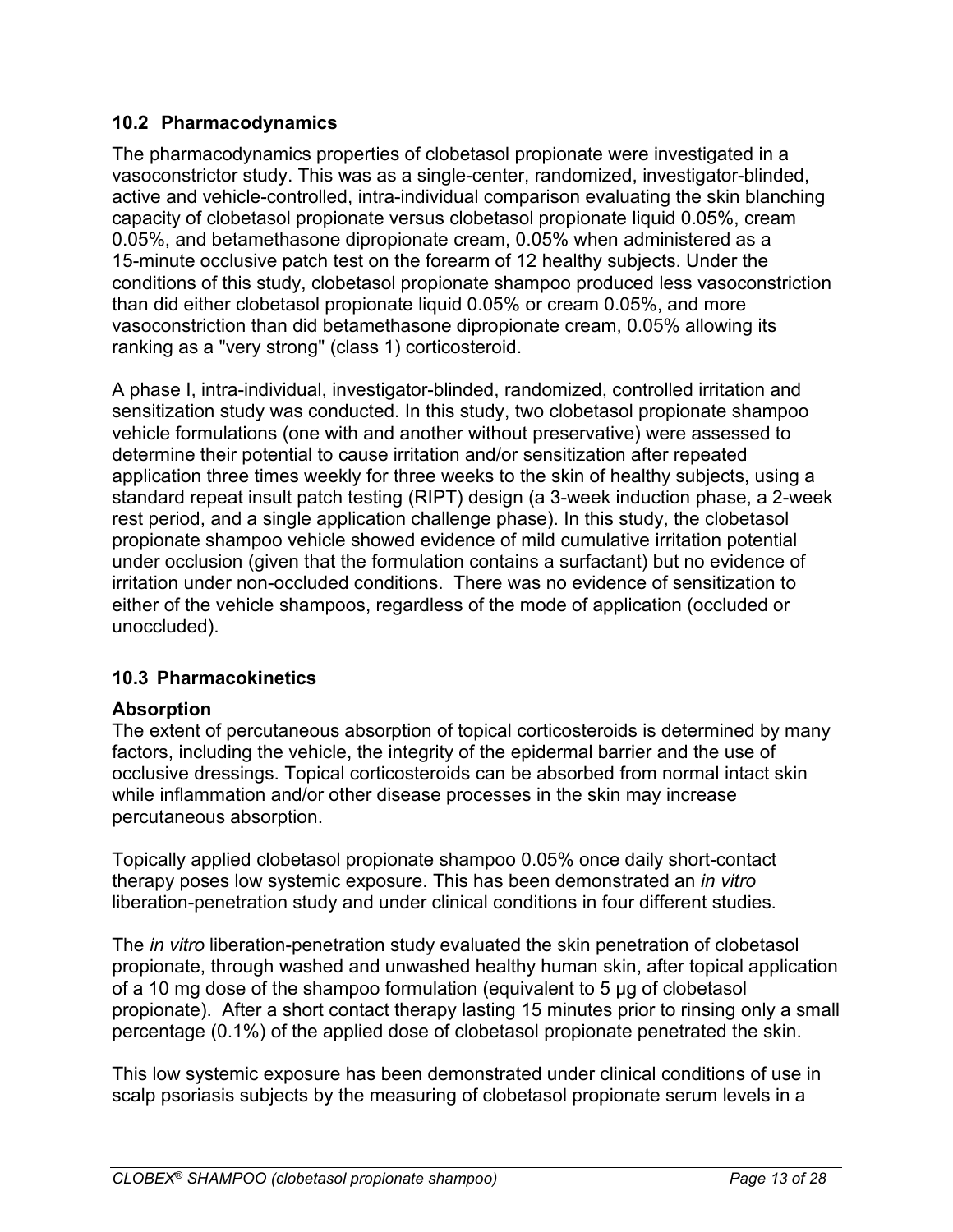### <span id="page-12-0"></span>**10.2 Pharmacodynamics**

The pharmacodynamics properties of clobetasol propionate were investigated in a vasoconstrictor study. This was as a single-center, randomized, investigator-blinded, active and vehicle-controlled, intra-individual comparison evaluating the skin blanching capacity of clobetasol propionate versus clobetasol propionate liquid 0.05%, cream 0.05%, and betamethasone dipropionate cream, 0.05% when administered as a 15-minute occlusive patch test on the forearm of 12 healthy subjects. Under the conditions of this study, clobetasol propionate shampoo produced less vasoconstriction than did either clobetasol propionate liquid 0.05% or cream 0.05%, and more vasoconstriction than did betamethasone dipropionate cream, 0.05% allowing its ranking as a "very strong" (class 1) corticosteroid.

A phase I, intra-individual, investigator-blinded, randomized, controlled irritation and sensitization study was conducted. In this study, two clobetasol propionate shampoo vehicle formulations (one with and another without preservative) were assessed to determine their potential to cause irritation and/or sensitization after repeated application three times weekly for three weeks to the skin of healthy subjects, using a standard repeat insult patch testing (RIPT) design (a 3-week induction phase, a 2-week rest period, and a single application challenge phase). In this study, the clobetasol propionate shampoo vehicle showed evidence of mild cumulative irritation potential under occlusion (given that the formulation contains a surfactant) but no evidence of irritation under non-occluded conditions. There was no evidence of sensitization to either of the vehicle shampoos, regardless of the mode of application (occluded or unoccluded).

# <span id="page-12-1"></span>**10.3 Pharmacokinetics**

# **Absorption**

The extent of percutaneous absorption of topical corticosteroids is determined by many factors, including the vehicle, the integrity of the epidermal barrier and the use of occlusive dressings. Topical corticosteroids can be absorbed from normal intact skin while inflammation and/or other disease processes in the skin may increase percutaneous absorption.

Topically applied clobetasol propionate shampoo 0.05% once daily short-contact therapy poses low systemic exposure. This has been demonstrated an *in vitro*  liberation-penetration study and under clinical conditions in four different studies.

The *in vitro* liberation-penetration study evaluated the skin penetration of clobetasol propionate, through washed and unwashed healthy human skin, after topical application of a 10 mg dose of the shampoo formulation (equivalent to 5 μg of clobetasol propionate). After a short contact therapy lasting 15 minutes prior to rinsing only a small percentage (0.1%) of the applied dose of clobetasol propionate penetrated the skin.

This low systemic exposure has been demonstrated under clinical conditions of use in scalp psoriasis subjects by the measuring of clobetasol propionate serum levels in a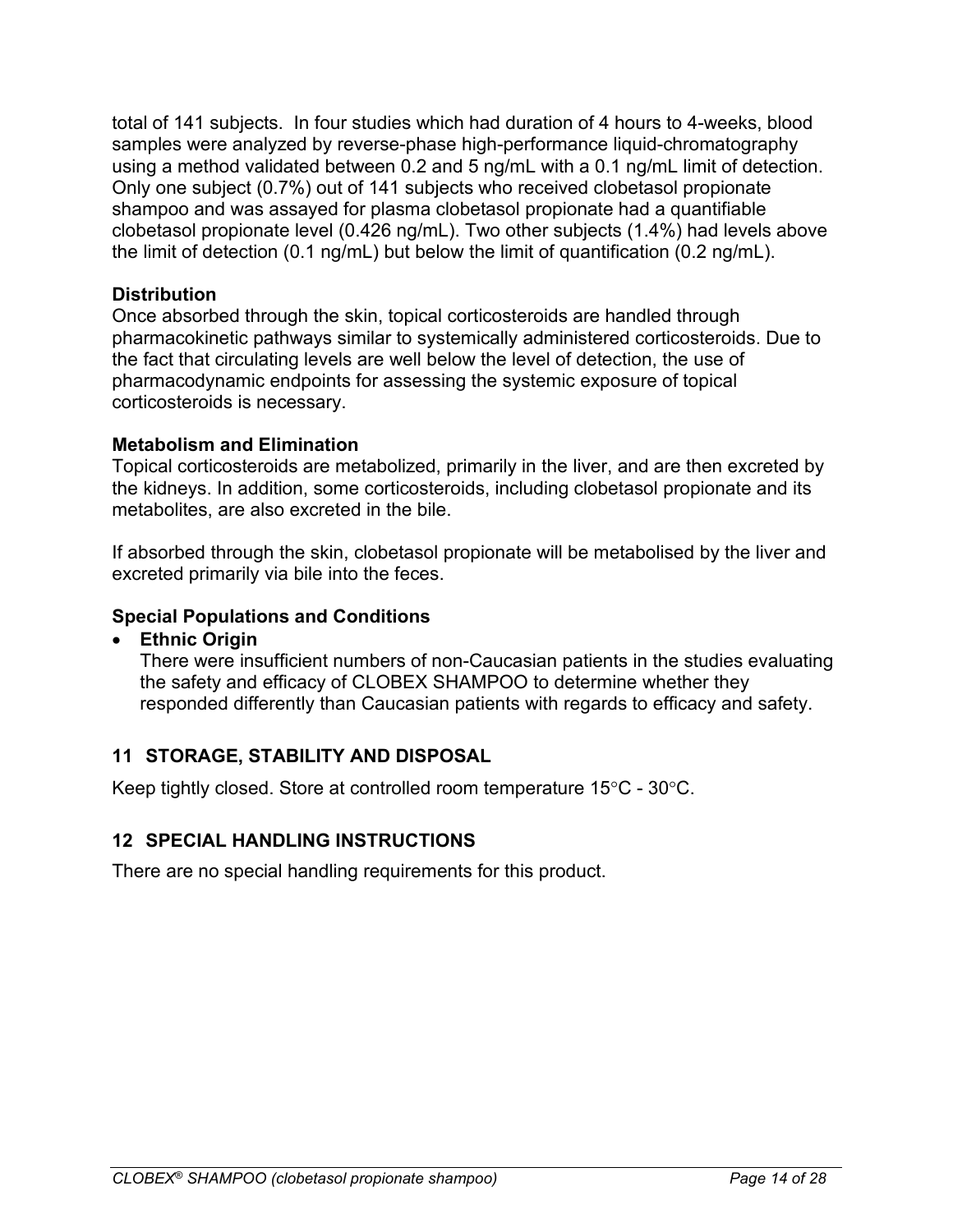total of 141 subjects. In four studies which had duration of 4 hours to 4-weeks, blood samples were analyzed by reverse-phase high-performance liquid-chromatography using a method validated between 0.2 and 5 ng/mL with a 0.1 ng/mL limit of detection. Only one subject (0.7%) out of 141 subjects who received clobetasol propionate shampoo and was assayed for plasma clobetasol propionate had a quantifiable clobetasol propionate level (0.426 ng/mL). Two other subjects (1.4%) had levels above the limit of detection (0.1 ng/mL) but below the limit of quantification (0.2 ng/mL).

#### **Distribution**

Once absorbed through the skin, topical corticosteroids are handled through pharmacokinetic pathways similar to systemically administered corticosteroids. Due to the fact that circulating levels are well below the level of detection, the use of pharmacodynamic endpoints for assessing the systemic exposure of topical corticosteroids is necessary.

#### **Metabolism and Elimination**

Topical corticosteroids are metabolized, primarily in the liver, and are then excreted by the kidneys. In addition, some corticosteroids, including clobetasol propionate and its metabolites, are also excreted in the bile.

If absorbed through the skin, clobetasol propionate will be metabolised by the liver and excreted primarily via bile into the feces.

#### **Special Populations and Conditions**

• **Ethnic Origin**

There were insufficient numbers of non-Caucasian patients in the studies evaluating the safety and efficacy of CLOBEX SHAMPOO to determine whether they responded differently than Caucasian patients with regards to efficacy and safety.

### <span id="page-13-0"></span>**11 STORAGE, STABILITY AND DISPOSAL**

Keep tightly closed. Store at controlled room temperature 15°C - 30°C.

### <span id="page-13-1"></span>**12 SPECIAL HANDLING INSTRUCTIONS**

There are no special handling requirements for this product.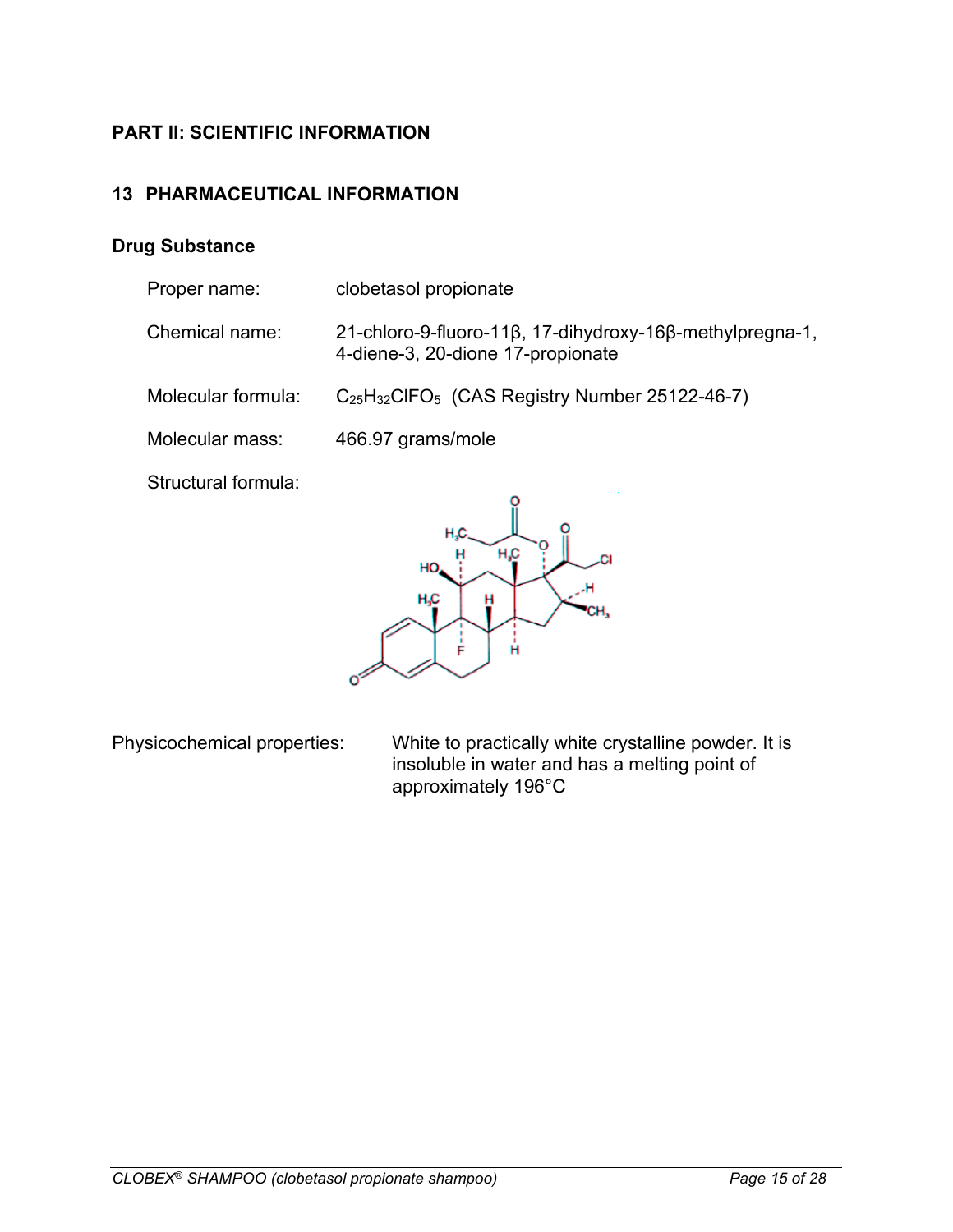# <span id="page-14-0"></span>**PART II: SCIENTIFIC INFORMATION**

# <span id="page-14-1"></span>**13 PHARMACEUTICAL INFORMATION**

### **Drug Substance**

| Proper name:        | clobetasol propionate                                                                         |
|---------------------|-----------------------------------------------------------------------------------------------|
| Chemical name:      | 21-chloro-9-fluoro-11β, 17-dihydroxy-16β-methylpregna-1,<br>4-diene-3, 20-dione 17-propionate |
| Molecular formula:  | $C_{25}H_{32}CIFO_5$ (CAS Registry Number 25122-46-7)                                         |
| Molecular mass:     | 466.97 grams/mole                                                                             |
| Structural formula: |                                                                                               |



Physicochemical properties: White to practically white crystalline powder. It is insoluble in water and has a melting point of approximately 196°C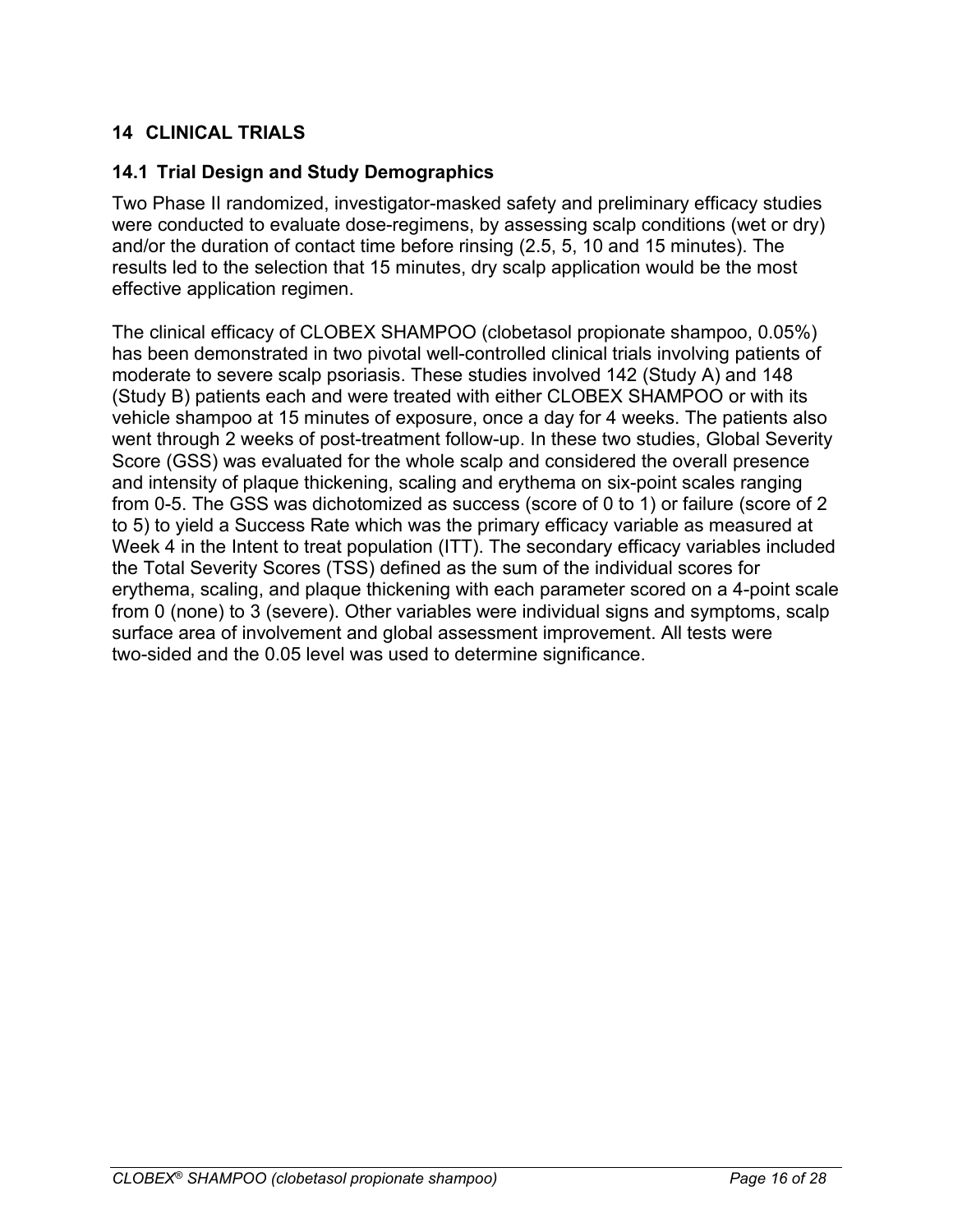# <span id="page-15-0"></span>**14 CLINICAL TRIALS**

### <span id="page-15-1"></span>**14.1 Trial Design and Study Demographics**

Two Phase II randomized, investigator-masked safety and preliminary efficacy studies were conducted to evaluate dose-regimens, by assessing scalp conditions (wet or dry) and/or the duration of contact time before rinsing (2.5, 5, 10 and 15 minutes). The results led to the selection that 15 minutes, dry scalp application would be the most effective application regimen.

The clinical efficacy of CLOBEX SHAMPOO (clobetasol propionate shampoo, 0.05%) has been demonstrated in two pivotal well-controlled clinical trials involving patients of moderate to severe scalp psoriasis. These studies involved 142 (Study A) and 148 (Study B) patients each and were treated with either CLOBEX SHAMPOO or with its vehicle shampoo at 15 minutes of exposure, once a day for 4 weeks. The patients also went through 2 weeks of post-treatment follow-up. In these two studies, Global Severity Score (GSS) was evaluated for the whole scalp and considered the overall presence and intensity of plaque thickening, scaling and erythema on six-point scales ranging from 0-5. The GSS was dichotomized as success (score of 0 to 1) or failure (score of 2 to 5) to yield a Success Rate which was the primary efficacy variable as measured at Week 4 in the Intent to treat population (ITT). The secondary efficacy variables included the Total Severity Scores (TSS) defined as the sum of the individual scores for erythema, scaling, and plaque thickening with each parameter scored on a 4-point scale from 0 (none) to 3 (severe). Other variables were individual signs and symptoms, scalp surface area of involvement and global assessment improvement. All tests were two-sided and the 0.05 level was used to determine significance.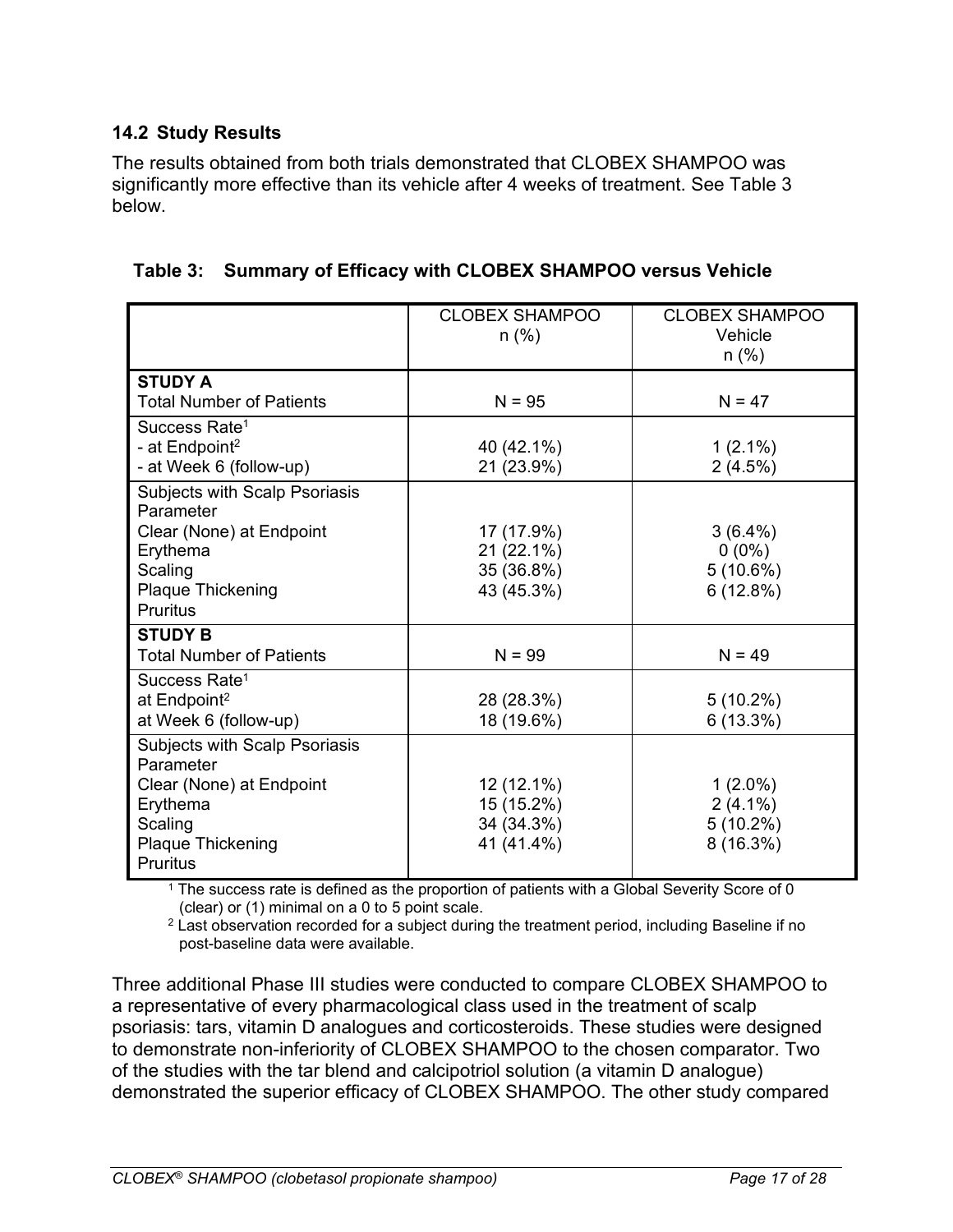# <span id="page-16-0"></span>**14.2 Study Results**

The results obtained from both trials demonstrated that CLOBEX SHAMPOO was significantly more effective than its vehicle after 4 weeks of treatment. See [Table 3](#page-16-1) below.

|                                                         | <b>CLOBEX SHAMPOO</b><br>$n$ (%) | <b>CLOBEX SHAMPOO</b><br>Vehicle |
|---------------------------------------------------------|----------------------------------|----------------------------------|
|                                                         |                                  | n (%)                            |
| <b>STUDY A</b>                                          |                                  |                                  |
| <b>Total Number of Patients</b>                         | $N = 95$                         | $N = 47$                         |
| Success Rate <sup>1</sup><br>- at Endpoint <sup>2</sup> | 40 (42.1%)                       | $1(2.1\%)$                       |
| - at Week 6 (follow-up)                                 | 21 (23.9%)                       | 2(4.5%)                          |
| Subjects with Scalp Psoriasis<br>Parameter              |                                  |                                  |
| Clear (None) at Endpoint                                | 17 (17.9%)                       | $3(6.4\%)$                       |
| Erythema                                                | 21 (22.1%)                       | $0(0\%)$                         |
| Scaling                                                 | 35 (36.8%)                       | 5(10.6%)                         |
| <b>Plaque Thickening</b><br><b>Pruritus</b>             | 43 (45.3%)                       | 6(12.8%)                         |
| <b>STUDY B</b>                                          |                                  |                                  |
| <b>Total Number of Patients</b>                         | $N = 99$                         | $N = 49$                         |
| Success Rate <sup>1</sup>                               |                                  |                                  |
| at Endpoint <sup>2</sup>                                | 28 (28.3%)                       | $5(10.2\%)$                      |
| at Week 6 (follow-up)                                   | 18 (19.6%)                       | 6(13.3%)                         |
| Subjects with Scalp Psoriasis<br>Parameter              |                                  |                                  |
| Clear (None) at Endpoint                                | 12 (12.1%)                       | $1(2.0\%)$                       |
| Erythema                                                | 15 (15.2%)                       | $2(4.1\%)$                       |
| Scaling                                                 | 34 (34.3%)                       | $5(10.2\%)$                      |
| <b>Plaque Thickening</b><br><b>Pruritus</b>             | 41 (41.4%)                       | 8 (16.3%)                        |

<span id="page-16-1"></span>**Table 3: Summary of Efficacy with CLOBEX SHAMPOO versus Vehicle**

<sup>1</sup> The success rate is defined as the proportion of patients with a Global Severity Score of 0 (clear) or (1) minimal on a 0 to 5 point scale.

 $2$  Last observation recorded for a subject during the treatment period, including Baseline if no post-baseline data were available.

Three additional Phase III studies were conducted to compare CLOBEX SHAMPOO to a representative of every pharmacological class used in the treatment of scalp psoriasis: tars, vitamin D analogues and corticosteroids. These studies were designed to demonstrate non-inferiority of CLOBEX SHAMPOO to the chosen comparator. Two of the studies with the tar blend and calcipotriol solution (a vitamin D analogue) demonstrated the superior efficacy of CLOBEX SHAMPOO. The other study compared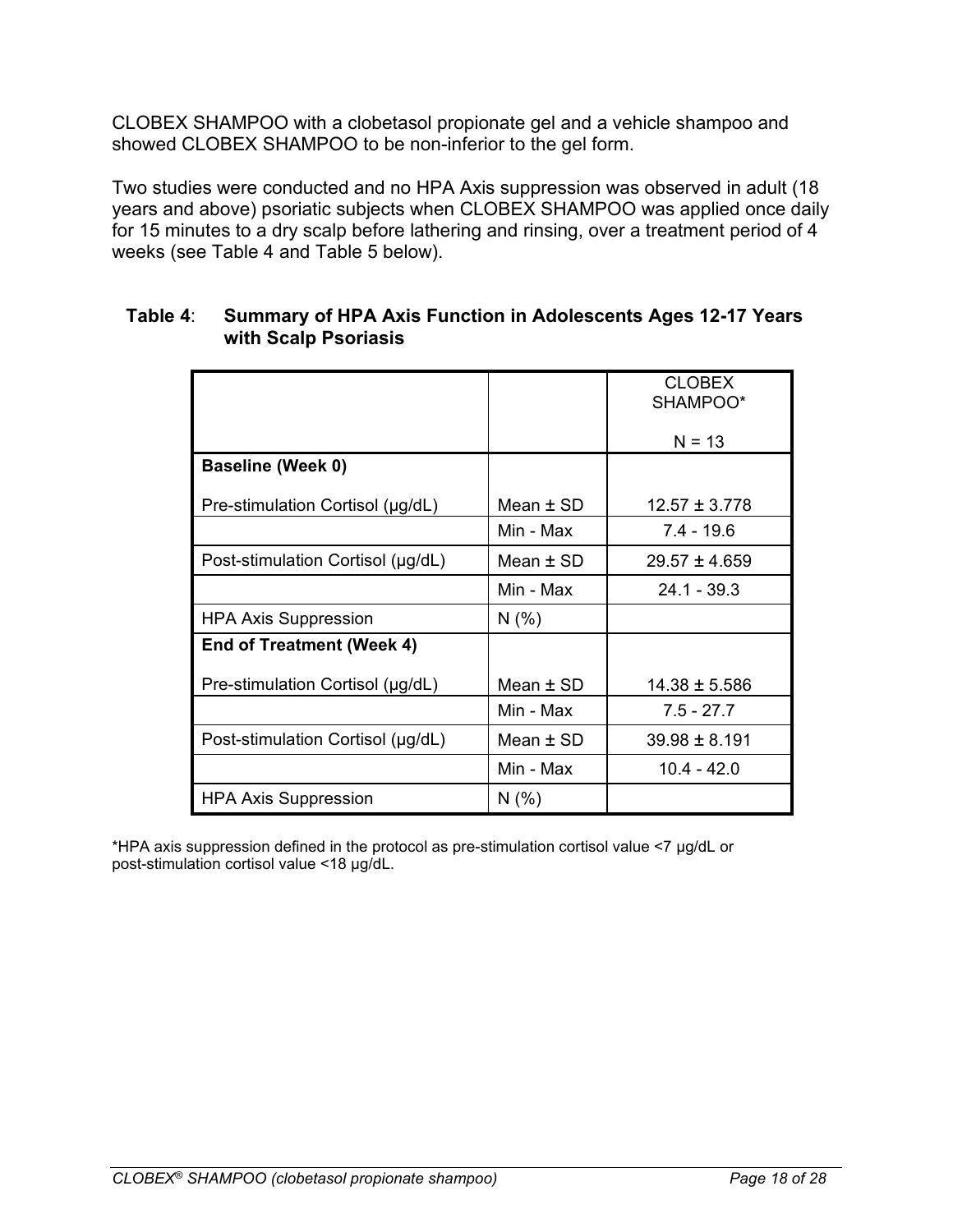CLOBEX SHAMPOO with a clobetasol propionate gel and a vehicle shampoo and showed CLOBEX SHAMPOO to be non-inferior to the gel form.

Two studies were conducted and no HPA Axis suppression was observed in adult (18 years and above) psoriatic subjects when CLOBEX SHAMPOO was applied once daily for 15 minutes to a dry scalp before lathering and rinsing, over a treatment period of 4 weeks (see [Table 4](#page-17-0) and [Table](#page-18-2) 5 below).

|                                   |             | <b>CLOBEX</b><br>SHAMPOO* |
|-----------------------------------|-------------|---------------------------|
|                                   |             | $N = 13$                  |
| <b>Baseline (Week 0)</b>          |             |                           |
| Pre-stimulation Cortisol (µg/dL)  | Mean $±$ SD | $12.57 \pm 3.778$         |
|                                   | Min - Max   | $7.4 - 19.6$              |
| Post-stimulation Cortisol (µg/dL) | Mean $±$ SD | $29.57 \pm 4.659$         |
|                                   | Min - Max   | $24.1 - 39.3$             |
| <b>HPA Axis Suppression</b>       | N(% )       |                           |
| End of Treatment (Week 4)         |             |                           |
| Pre-stimulation Cortisol (µg/dL)  | Mean $±$ SD | $14.38 \pm 5.586$         |
|                                   | Min - Max   | $7.5 - 27.7$              |
| Post-stimulation Cortisol (µg/dL) | Mean $±$ SD | $39.98 \pm 8.191$         |
|                                   | Min - Max   | $10.4 - 42.0$             |
| <b>HPA Axis Suppression</b>       | N(% )       |                           |

#### <span id="page-17-0"></span>**Table 4**: **Summary of HPA Axis Function in Adolescents Ages 12-17 Years with Scalp Psoriasis**

\*HPA axis suppression defined in the protocol as pre-stimulation cortisol value <7 μg/dL or post-stimulation cortisol value <18 μg/dL.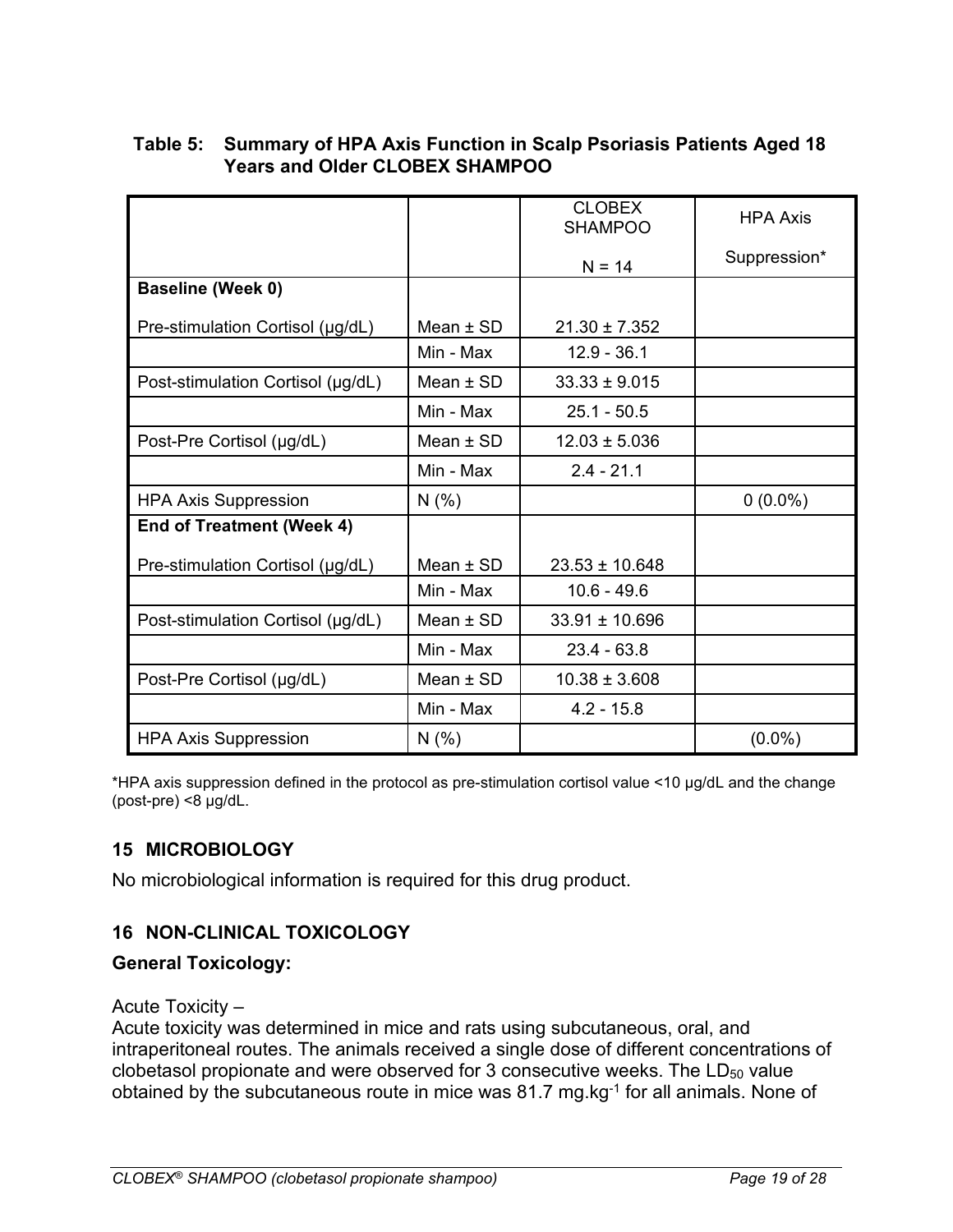|                                   |               | <b>CLOBEX</b><br><b>SHAMPOO</b> | <b>HPA Axis</b> |
|-----------------------------------|---------------|---------------------------------|-----------------|
|                                   |               | $N = 14$                        | Suppression*    |
| <b>Baseline (Week 0)</b>          |               |                                 |                 |
| Pre-stimulation Cortisol (µg/dL)  | Mean $\pm$ SD | $21.30 \pm 7.352$               |                 |
|                                   | Min - Max     | $12.9 - 36.1$                   |                 |
| Post-stimulation Cortisol (µg/dL) | Mean $\pm$ SD | $33.33 \pm 9.015$               |                 |
|                                   | Min - Max     | $25.1 - 50.5$                   |                 |
| Post-Pre Cortisol (µg/dL)         | Mean $\pm$ SD | $12.03 \pm 5.036$               |                 |
|                                   | Min - Max     | $2.4 - 21.1$                    |                 |
| <b>HPA Axis Suppression</b>       | N(% )         |                                 | $0(0.0\%)$      |
| <b>End of Treatment (Week 4)</b>  |               |                                 |                 |
| Pre-stimulation Cortisol (µg/dL)  | Mean $±$ SD   | $23.53 \pm 10.648$              |                 |
|                                   | Min - Max     | $10.6 - 49.6$                   |                 |
| Post-stimulation Cortisol (µg/dL) | Mean $\pm$ SD | $33.91 \pm 10.696$              |                 |
|                                   | Min - Max     | $23.4 - 63.8$                   |                 |
| Post-Pre Cortisol (µg/dL)         | Mean $±$ SD   | $10.38 \pm 3.608$               |                 |
|                                   | Min - Max     | $4.2 - 15.8$                    |                 |
| <b>HPA Axis Suppression</b>       | N(% )         |                                 | $(0.0\%)$       |

### <span id="page-18-2"></span>**Table 5: Summary of HPA Axis Function in Scalp Psoriasis Patients Aged 18 Years and Older CLOBEX SHAMPOO**

\*HPA axis suppression defined in the protocol as pre-stimulation cortisol value <10 μg/dL and the change (post-pre) <8 μg/dL.

# <span id="page-18-0"></span>**15 MICROBIOLOGY**

No microbiological information is required for this drug product.

# <span id="page-18-1"></span>**16 NON-CLINICAL TOXICOLOGY**

### **General Toxicology:**

Acute Toxicity –

Acute toxicity was determined in mice and rats using subcutaneous, oral, and intraperitoneal routes. The animals received a single dose of different concentrations of clobetasol propionate and were observed for 3 consecutive weeks. The  $LD_{50}$  value obtained by the subcutaneous route in mice was 81.7 mg.kg<sup>-1</sup> for all animals. None of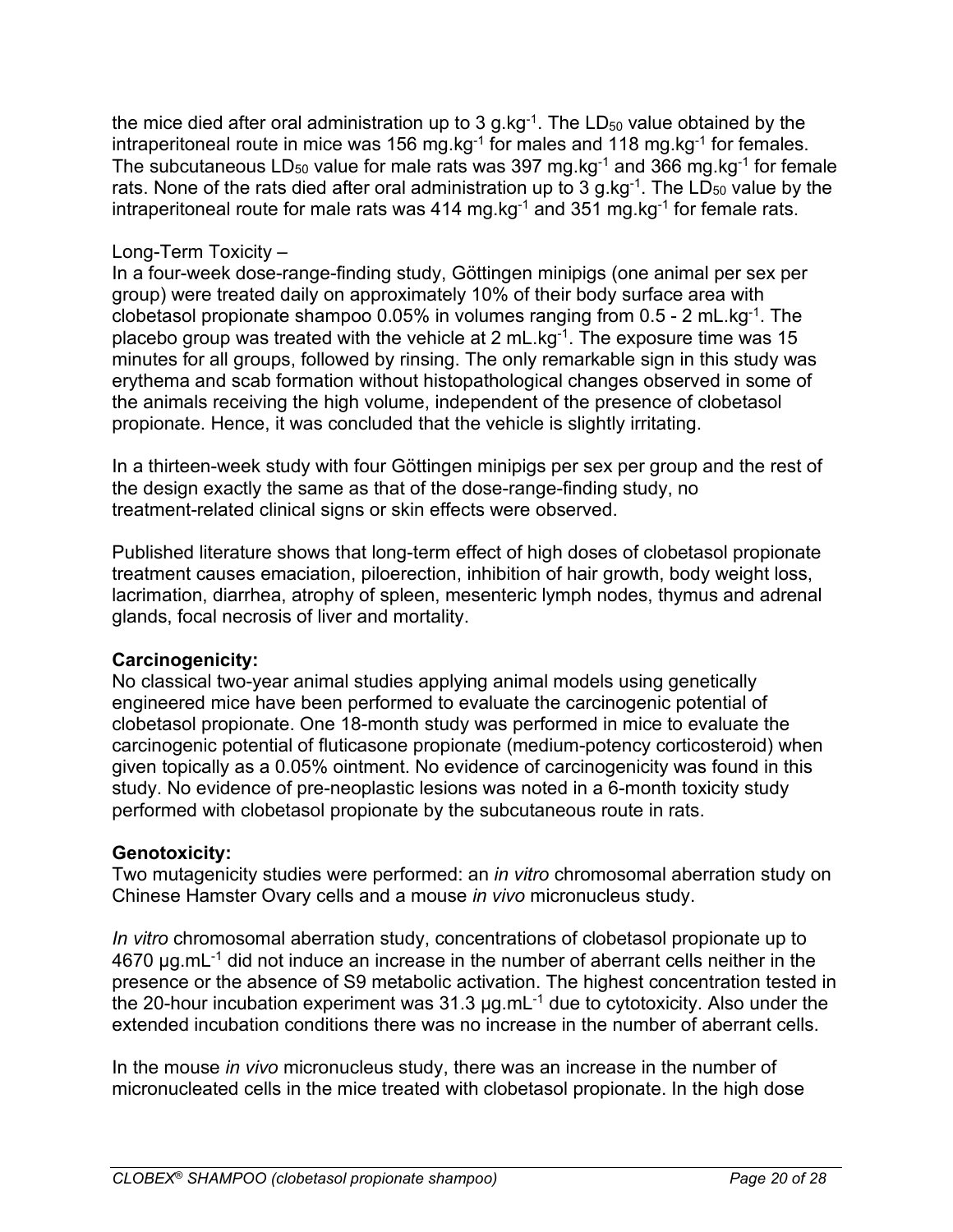the mice died after oral administration up to 3 g.kg $^{-1}$ . The LD<sub>50</sub> value obtained by the intraperitoneal route in mice was 156 mg.kg<sup>-1</sup> for males and 118 mg.kg<sup>-1</sup> for females. The subcutaneous LD<sub>50</sub> value for male rats was 397 mg.kg<sup>-1</sup> and 366 mg.kg<sup>-1</sup> for female rats. None of the rats died after oral administration up to 3 g.kg<sup>-1</sup>. The LD<sub>50</sub> value by the intraperitoneal route for male rats was 414 mg.kg $^{-1}$  and 351 mg.kg $^{-1}$  for female rats.

#### Long-Term Toxicity –

In a four-week dose-range-finding study, Göttingen minipigs (one animal per sex per group) were treated daily on approximately 10% of their body surface area with clobetasol propionate shampoo 0.05% in volumes ranging from 0.5 - 2 mL.kg-1. The placebo group was treated with the vehicle at 2 mL.kg<sup>-1</sup>. The exposure time was 15 minutes for all groups, followed by rinsing. The only remarkable sign in this study was erythema and scab formation without histopathological changes observed in some of the animals receiving the high volume, independent of the presence of clobetasol propionate. Hence, it was concluded that the vehicle is slightly irritating.

In a thirteen-week study with four Göttingen minipigs per sex per group and the rest of the design exactly the same as that of the dose-range-finding study, no treatment-related clinical signs or skin effects were observed.

Published literature shows that long-term effect of high doses of clobetasol propionate treatment causes emaciation, piloerection, inhibition of hair growth, body weight loss, lacrimation, diarrhea, atrophy of spleen, mesenteric lymph nodes, thymus and adrenal glands, focal necrosis of liver and mortality.

### **Carcinogenicity:**

No classical two-year animal studies applying animal models using genetically engineered mice have been performed to evaluate the carcinogenic potential of clobetasol propionate. One 18-month study was performed in mice to evaluate the carcinogenic potential of fluticasone propionate (medium-potency corticosteroid) when given topically as a 0.05% ointment. No evidence of carcinogenicity was found in this study. No evidence of pre-neoplastic lesions was noted in a 6-month toxicity study performed with clobetasol propionate by the subcutaneous route in rats.

### **Genotoxicity:**

Two mutagenicity studies were performed: an *in vitro* chromosomal aberration study on Chinese Hamster Ovary cells and a mouse *in vivo* micronucleus study.

*In vitro* chromosomal aberration study, concentrations of clobetasol propionate up to  $4670$  µg.mL $<sup>-1</sup>$  did not induce an increase in the number of aberrant cells neither in the</sup> presence or the absence of S9 metabolic activation. The highest concentration tested in the 20-hour incubation experiment was  $31.3 \mu q$ .mL<sup>-1</sup> due to cytotoxicity. Also under the extended incubation conditions there was no increase in the number of aberrant cells.

In the mouse *in vivo* micronucleus study, there was an increase in the number of micronucleated cells in the mice treated with clobetasol propionate. In the high dose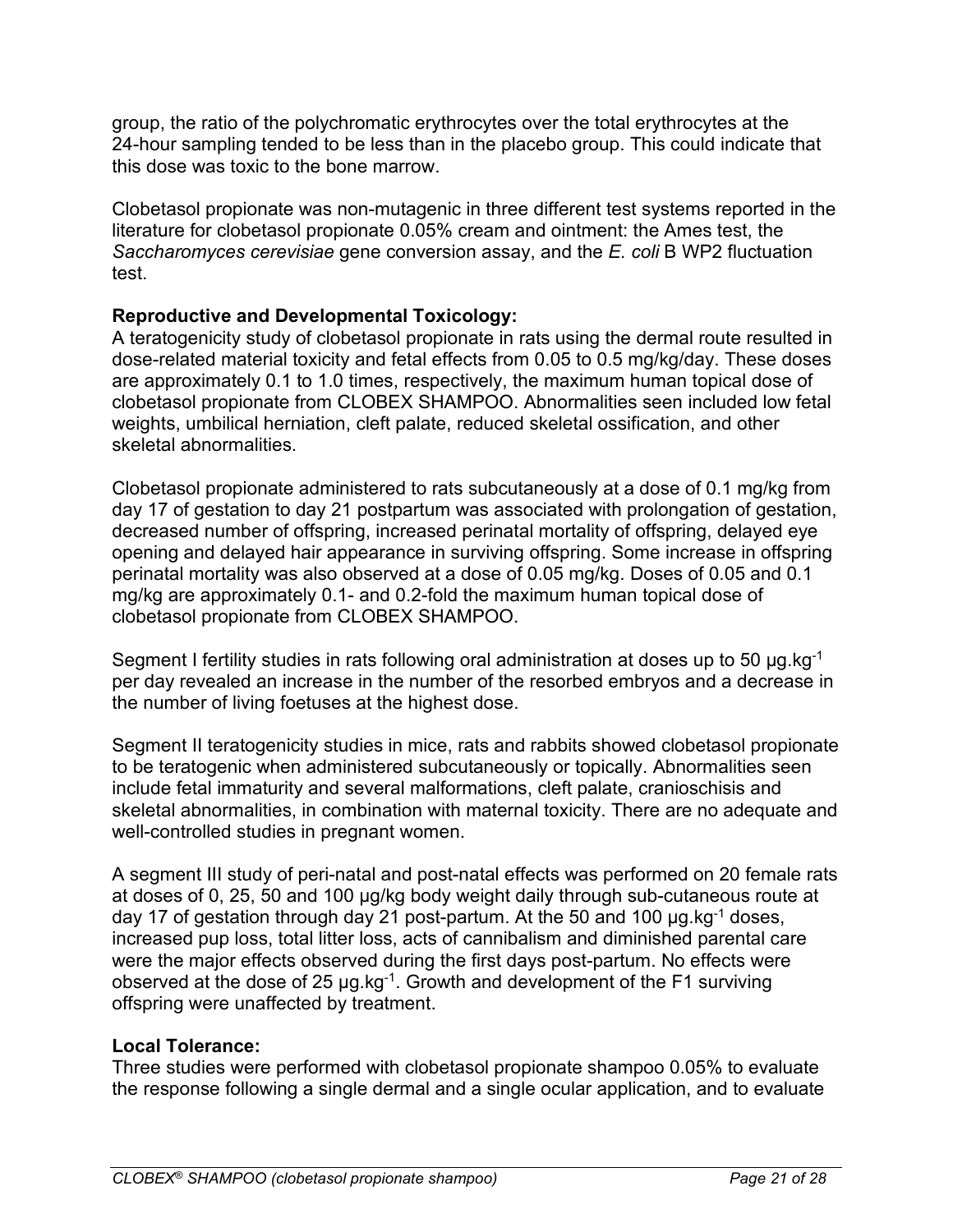group, the ratio of the polychromatic erythrocytes over the total erythrocytes at the 24-hour sampling tended to be less than in the placebo group. This could indicate that this dose was toxic to the bone marrow.

Clobetasol propionate was non-mutagenic in three different test systems reported in the literature for clobetasol propionate 0.05% cream and ointment: the Ames test, the *Saccharomyces cerevisiae* gene conversion assay, and the *E. coli* B WP2 fluctuation test.

### **Reproductive and Developmental Toxicology:**

A teratogenicity study of clobetasol propionate in rats using the dermal route resulted in dose-related material toxicity and fetal effects from 0.05 to 0.5 mg/kg/day. These doses are approximately 0.1 to 1.0 times, respectively, the maximum human topical dose of clobetasol propionate from CLOBEX SHAMPOO. Abnormalities seen included low fetal weights, umbilical herniation, cleft palate, reduced skeletal ossification, and other skeletal abnormalities.

Clobetasol propionate administered to rats subcutaneously at a dose of 0.1 mg/kg from day 17 of gestation to day 21 postpartum was associated with prolongation of gestation, decreased number of offspring, increased perinatal mortality of offspring, delayed eye opening and delayed hair appearance in surviving offspring. Some increase in offspring perinatal mortality was also observed at a dose of 0.05 mg/kg. Doses of 0.05 and 0.1 mg/kg are approximately 0.1- and 0.2-fold the maximum human topical dose of clobetasol propionate from CLOBEX SHAMPOO.

Segment I fertility studies in rats following oral administration at doses up to 50 μg.kg-1 per day revealed an increase in the number of the resorbed embryos and a decrease in the number of living foetuses at the highest dose.

Segment II teratogenicity studies in mice, rats and rabbits showed clobetasol propionate to be teratogenic when administered subcutaneously or topically. Abnormalities seen include fetal immaturity and several malformations, cleft palate, cranioschisis and skeletal abnormalities, in combination with maternal toxicity. There are no adequate and well-controlled studies in pregnant women.

A segment III study of peri-natal and post-natal effects was performed on 20 female rats at doses of 0, 25, 50 and 100 μg/kg body weight daily through sub-cutaneous route at day 17 of gestation through day 21 post-partum. At the 50 and 100 μg.kg-1 doses, increased pup loss, total litter loss, acts of cannibalism and diminished parental care were the major effects observed during the first days post-partum. No effects were observed at the dose of 25 μg.kg-1. Growth and development of the F1 surviving offspring were unaffected by treatment.

### **Local Tolerance:**

Three studies were performed with clobetasol propionate shampoo 0.05% to evaluate the response following a single dermal and a single ocular application, and to evaluate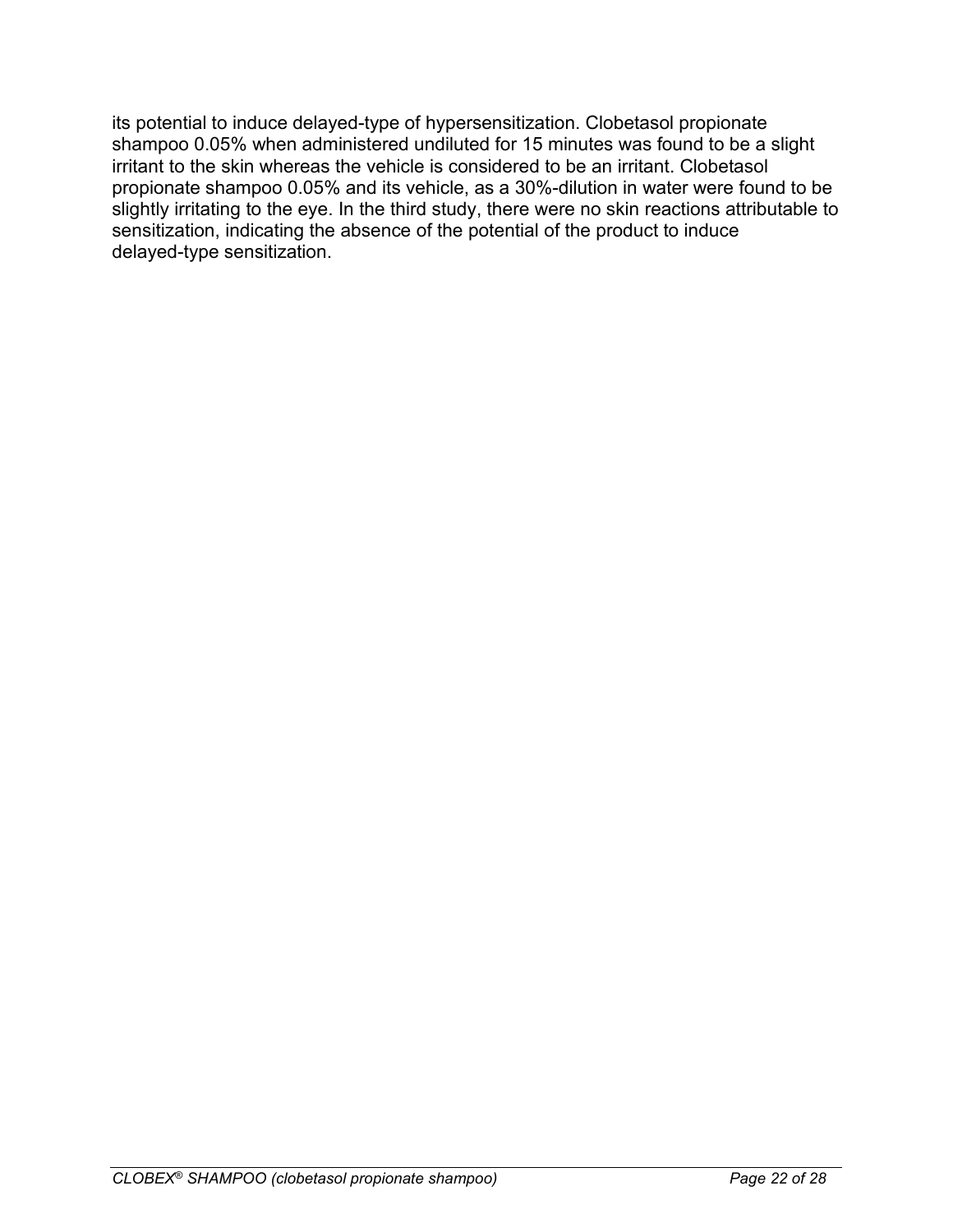its potential to induce delayed-type of hypersensitization. Clobetasol propionate shampoo 0.05% when administered undiluted for 15 minutes was found to be a slight irritant to the skin whereas the vehicle is considered to be an irritant. Clobetasol propionate shampoo 0.05% and its vehicle, as a 30%-dilution in water were found to be slightly irritating to the eye. In the third study, there were no skin reactions attributable to sensitization, indicating the absence of the potential of the product to induce delayed-type sensitization.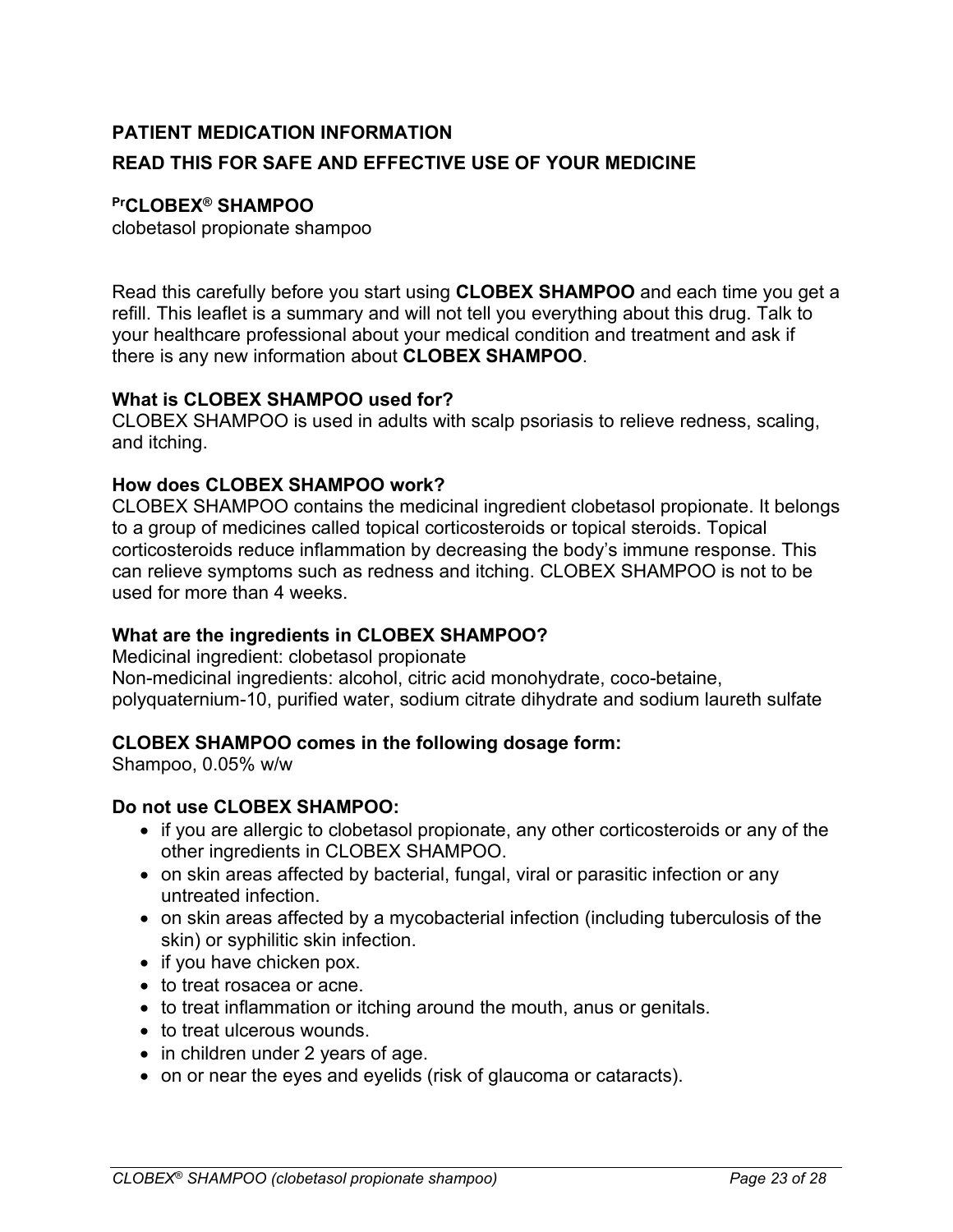# <span id="page-22-0"></span>**PATIENT MEDICATION INFORMATION READ THIS FOR SAFE AND EFFECTIVE USE OF YOUR MEDICINE**

### **PrCLOBEX® SHAMPOO**

clobetasol propionate shampoo

Read this carefully before you start using **CLOBEX SHAMPOO** and each time you get a refill. This leaflet is a summary and will not tell you everything about this drug. Talk to your healthcare professional about your medical condition and treatment and ask if there is any new information about **CLOBEX SHAMPOO**.

#### **What is CLOBEX SHAMPOO used for?**

CLOBEX SHAMPOO is used in adults with scalp psoriasis to relieve redness, scaling, and itching.

#### **How does CLOBEX SHAMPOO work?**

CLOBEX SHAMPOO contains the medicinal ingredient clobetasol propionate. It belongs to a group of medicines called topical corticosteroids or topical steroids. Topical corticosteroids reduce inflammation by decreasing the body's immune response. This can relieve symptoms such as redness and itching. CLOBEX SHAMPOO is not to be used for more than 4 weeks.

### **What are the ingredients in CLOBEX SHAMPOO?**

Medicinal ingredient: clobetasol propionate Non-medicinal ingredients: alcohol, citric acid monohydrate, coco-betaine, polyquaternium-10, purified water, sodium citrate dihydrate and sodium laureth sulfate

### **CLOBEX SHAMPOO comes in the following dosage form:**

Shampoo, 0.05% w/w

### **Do not use CLOBEX SHAMPOO:**

- if you are allergic to clobetasol propionate, any other corticosteroids or any of the other ingredients in CLOBEX SHAMPOO.
- on skin areas affected by bacterial, fungal, viral or parasitic infection or any untreated infection.
- on skin areas affected by a mycobacterial infection (including tuberculosis of the skin) or syphilitic skin infection.
- if you have chicken pox.
- to treat rosacea or acne.
- to treat inflammation or itching around the mouth, anus or genitals.
- to treat ulcerous wounds.
- in children under 2 years of age.
- on or near the eyes and eyelids (risk of glaucoma or cataracts).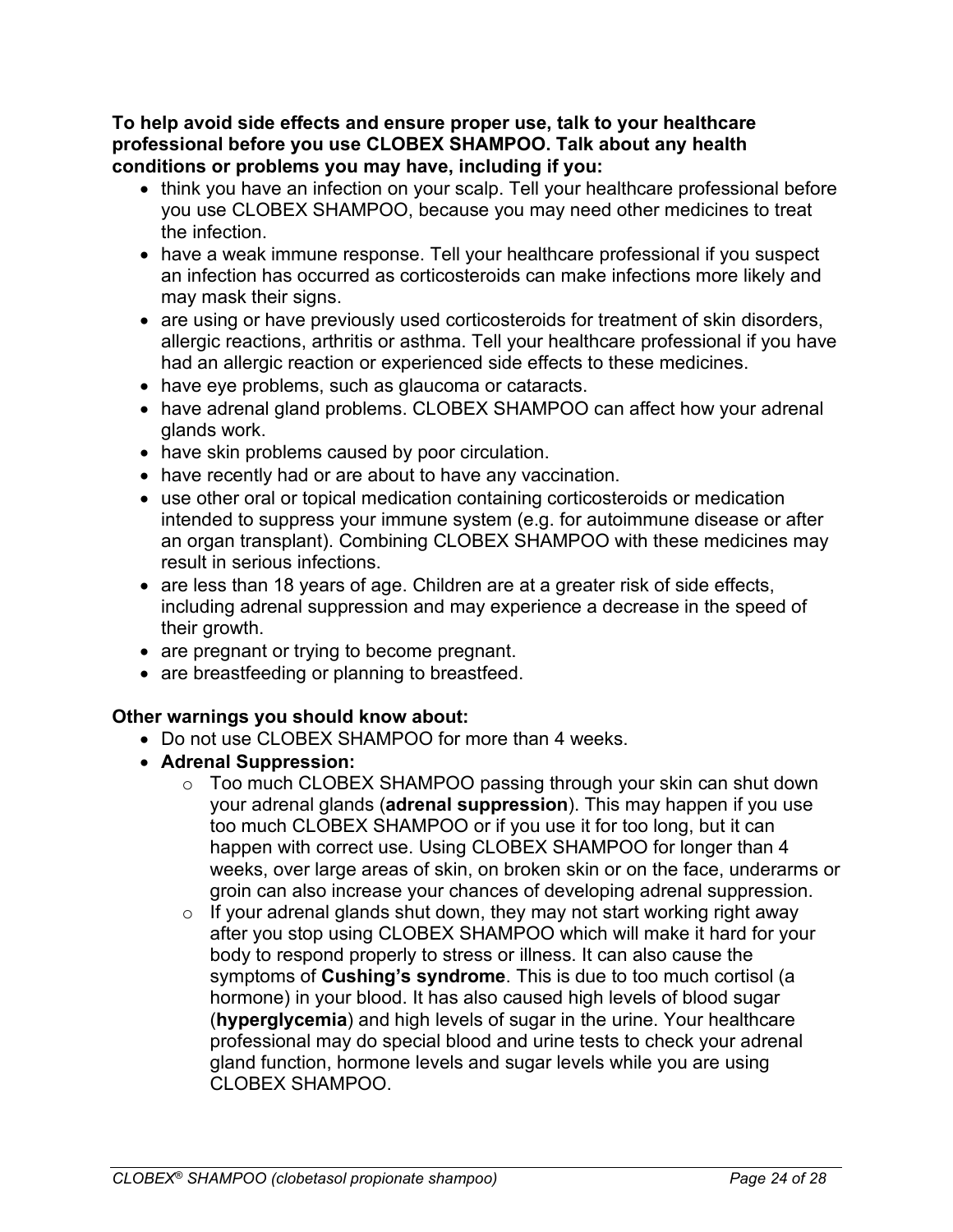**To help avoid side effects and ensure proper use, talk to your healthcare professional before you use CLOBEX SHAMPOO. Talk about any health conditions or problems you may have, including if you:**

- think you have an infection on your scalp. Tell your healthcare professional before you use CLOBEX SHAMPOO, because you may need other medicines to treat the infection.
- have a weak immune response. Tell your healthcare professional if you suspect an infection has occurred as corticosteroids can make infections more likely and may mask their signs.
- are using or have previously used corticosteroids for treatment of skin disorders, allergic reactions, arthritis or asthma. Tell your healthcare professional if you have had an allergic reaction or experienced side effects to these medicines.
- have eye problems, such as glaucoma or cataracts.
- have adrenal gland problems. CLOBEX SHAMPOO can affect how your adrenal glands work.
- have skin problems caused by poor circulation.
- have recently had or are about to have any vaccination.
- use other oral or topical medication containing corticosteroids or medication intended to suppress your immune system (e.g. for autoimmune disease or after an organ transplant). Combining CLOBEX SHAMPOO with these medicines may result in serious infections.
- are less than 18 years of age. Children are at a greater risk of side effects, including adrenal suppression and may experience a decrease in the speed of their growth.
- are pregnant or trying to become pregnant.
- are breastfeeding or planning to breastfeed.

### **Other warnings you should know about:**

- Do not use CLOBEX SHAMPOO for more than 4 weeks.
- **Adrenal Suppression:**
	- o Too much CLOBEX SHAMPOO passing through your skin can shut down your adrenal glands (**adrenal suppression**). This may happen if you use too much CLOBEX SHAMPOO or if you use it for too long, but it can happen with correct use. Using CLOBEX SHAMPOO for longer than 4 weeks, over large areas of skin, on broken skin or on the face, underarms or groin can also increase your chances of developing adrenal suppression.
	- $\circ$  If your adrenal glands shut down, they may not start working right away after you stop using CLOBEX SHAMPOO which will make it hard for your body to respond properly to stress or illness. It can also cause the symptoms of **Cushing's syndrome**. This is due to too much cortisol (a hormone) in your blood. It has also caused high levels of blood sugar (**hyperglycemia**) and high levels of sugar in the urine. Your healthcare professional may do special blood and urine tests to check your adrenal gland function, hormone levels and sugar levels while you are using CLOBEX SHAMPOO.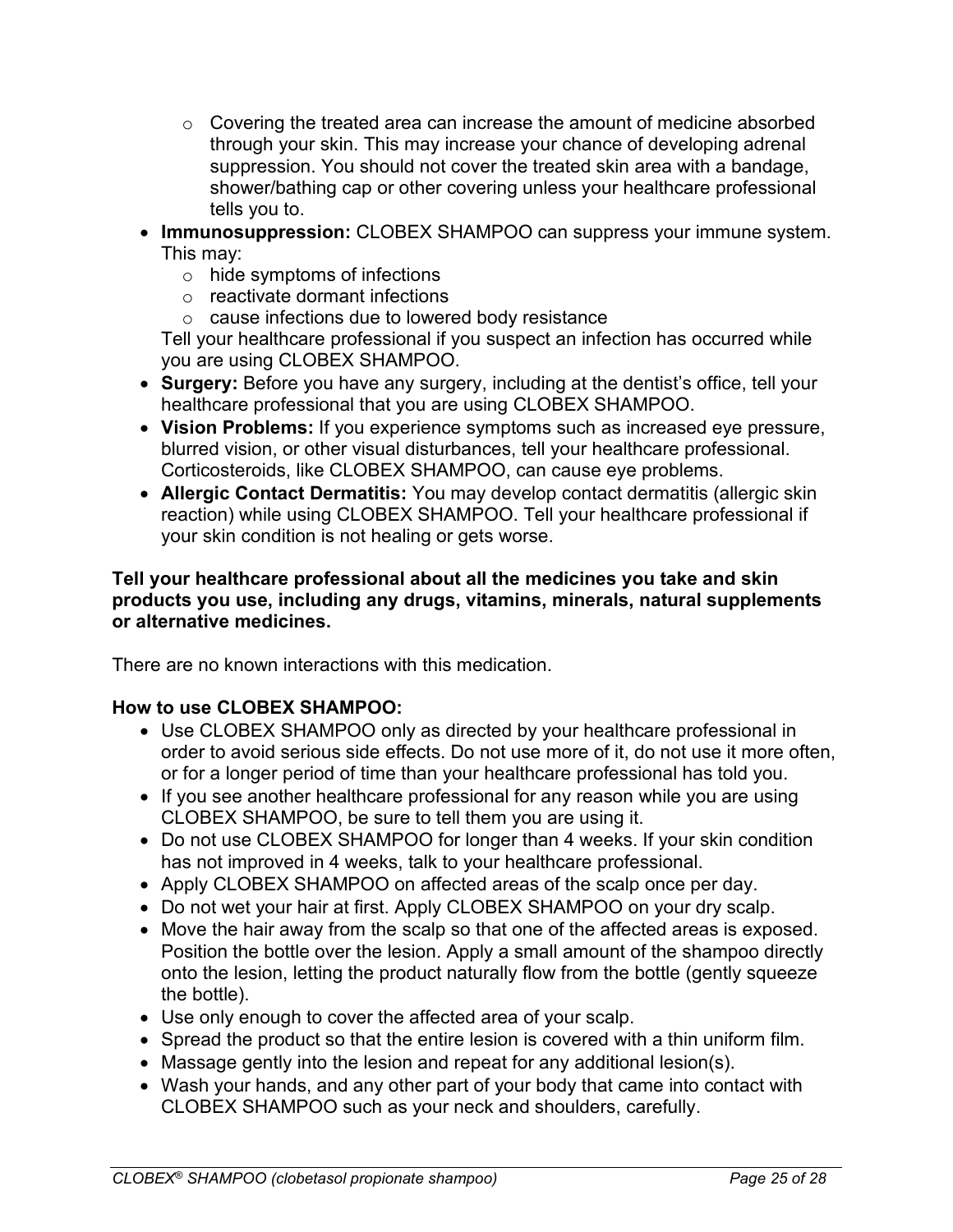- $\circ$  Covering the treated area can increase the amount of medicine absorbed through your skin. This may increase your chance of developing adrenal suppression. You should not cover the treated skin area with a bandage, shower/bathing cap or other covering unless your healthcare professional tells you to.
- **Immunosuppression:** CLOBEX SHAMPOO can suppress your immune system. This may:
	- o hide symptoms of infections
	- $\circ$  reactivate dormant infections
	- o cause infections due to lowered body resistance

Tell your healthcare professional if you suspect an infection has occurred while you are using CLOBEX SHAMPOO.

- **Surgery:** Before you have any surgery, including at the dentist's office, tell your healthcare professional that you are using CLOBEX SHAMPOO.
- **Vision Problems:** If you experience symptoms such as increased eye pressure, blurred vision, or other visual disturbances, tell your healthcare professional. Corticosteroids, like CLOBEX SHAMPOO, can cause eye problems.
- **Allergic Contact Dermatitis:** You may develop contact dermatitis (allergic skin reaction) while using CLOBEX SHAMPOO. Tell your healthcare professional if your skin condition is not healing or gets worse.

#### **Tell your healthcare professional about all the medicines you take and skin products you use, including any drugs, vitamins, minerals, natural supplements or alternative medicines.**

There are no known interactions with this medication.

### **How to use CLOBEX SHAMPOO:**

- Use CLOBEX SHAMPOO only as directed by your healthcare professional in order to avoid serious side effects. Do not use more of it, do not use it more often, or for a longer period of time than your healthcare professional has told you.
- If you see another healthcare professional for any reason while you are using CLOBEX SHAMPOO, be sure to tell them you are using it.
- Do not use CLOBEX SHAMPOO for longer than 4 weeks. If your skin condition has not improved in 4 weeks, talk to your healthcare professional.
- Apply CLOBEX SHAMPOO on affected areas of the scalp once per day.
- Do not wet your hair at first. Apply CLOBEX SHAMPOO on your dry scalp.
- Move the hair away from the scalp so that one of the affected areas is exposed. Position the bottle over the lesion. Apply a small amount of the shampoo directly onto the lesion, letting the product naturally flow from the bottle (gently squeeze the bottle).
- Use only enough to cover the affected area of your scalp.
- Spread the product so that the entire lesion is covered with a thin uniform film.
- Massage gently into the lesion and repeat for any additional lesion(s).
- Wash your hands, and any other part of your body that came into contact with CLOBEX SHAMPOO such as your neck and shoulders, carefully.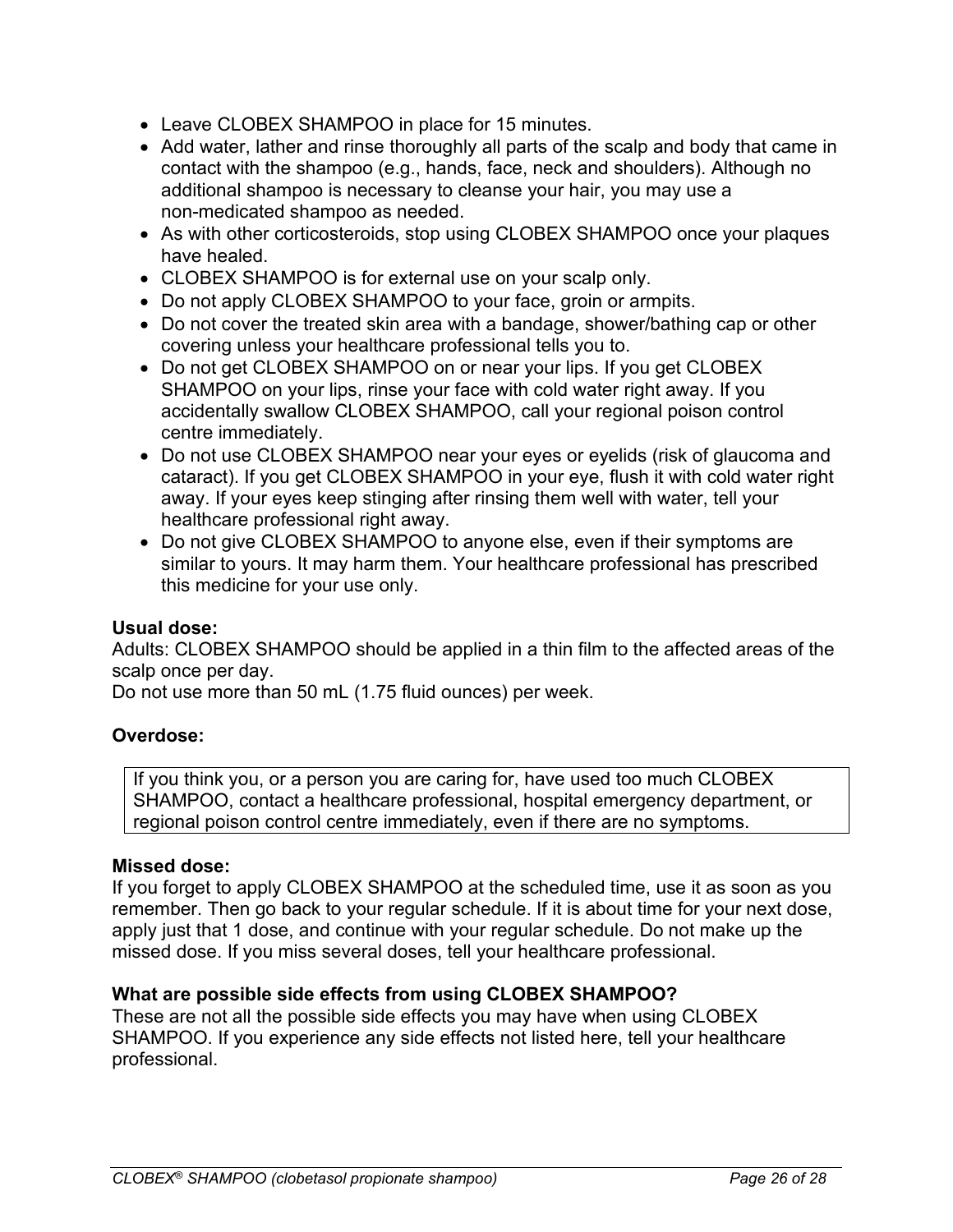- Leave CLOBEX SHAMPOO in place for 15 minutes.
- Add water, lather and rinse thoroughly all parts of the scalp and body that came in contact with the shampoo (e.g., hands, face, neck and shoulders). Although no additional shampoo is necessary to cleanse your hair, you may use a non-medicated shampoo as needed.
- As with other corticosteroids, stop using CLOBEX SHAMPOO once your plaques have healed.
- CLOBEX SHAMPOO is for external use on your scalp only.
- Do not apply CLOBEX SHAMPOO to your face, groin or armpits.
- Do not cover the treated skin area with a bandage, shower/bathing cap or other covering unless your healthcare professional tells you to.
- Do not get CLOBEX SHAMPOO on or near your lips. If you get CLOBEX SHAMPOO on your lips, rinse your face with cold water right away. If you accidentally swallow CLOBEX SHAMPOO, call your regional poison control centre immediately.
- Do not use CLOBEX SHAMPOO near your eyes or eyelids (risk of glaucoma and cataract). If you get CLOBEX SHAMPOO in your eye, flush it with cold water right away. If your eyes keep stinging after rinsing them well with water, tell your healthcare professional right away.
- Do not give CLOBEX SHAMPOO to anyone else, even if their symptoms are similar to yours. It may harm them. Your healthcare professional has prescribed this medicine for your use only.

### **Usual dose:**

Adults: CLOBEX SHAMPOO should be applied in a thin film to the affected areas of the scalp once per day.

Do not use more than 50 mL (1.75 fluid ounces) per week.

# **Overdose:**

If you think you, or a person you are caring for, have used too much CLOBEX SHAMPOO, contact a healthcare professional, hospital emergency department, or regional poison control centre immediately, even if there are no symptoms.

### **Missed dose:**

If you forget to apply CLOBEX SHAMPOO at the scheduled time, use it as soon as you remember. Then go back to your regular schedule. If it is about time for your next dose, apply just that 1 dose, and continue with your regular schedule. Do not make up the missed dose. If you miss several doses, tell your healthcare professional.

# **What are possible side effects from using CLOBEX SHAMPOO?**

These are not all the possible side effects you may have when using CLOBEX SHAMPOO. If you experience any side effects not listed here, tell your healthcare professional.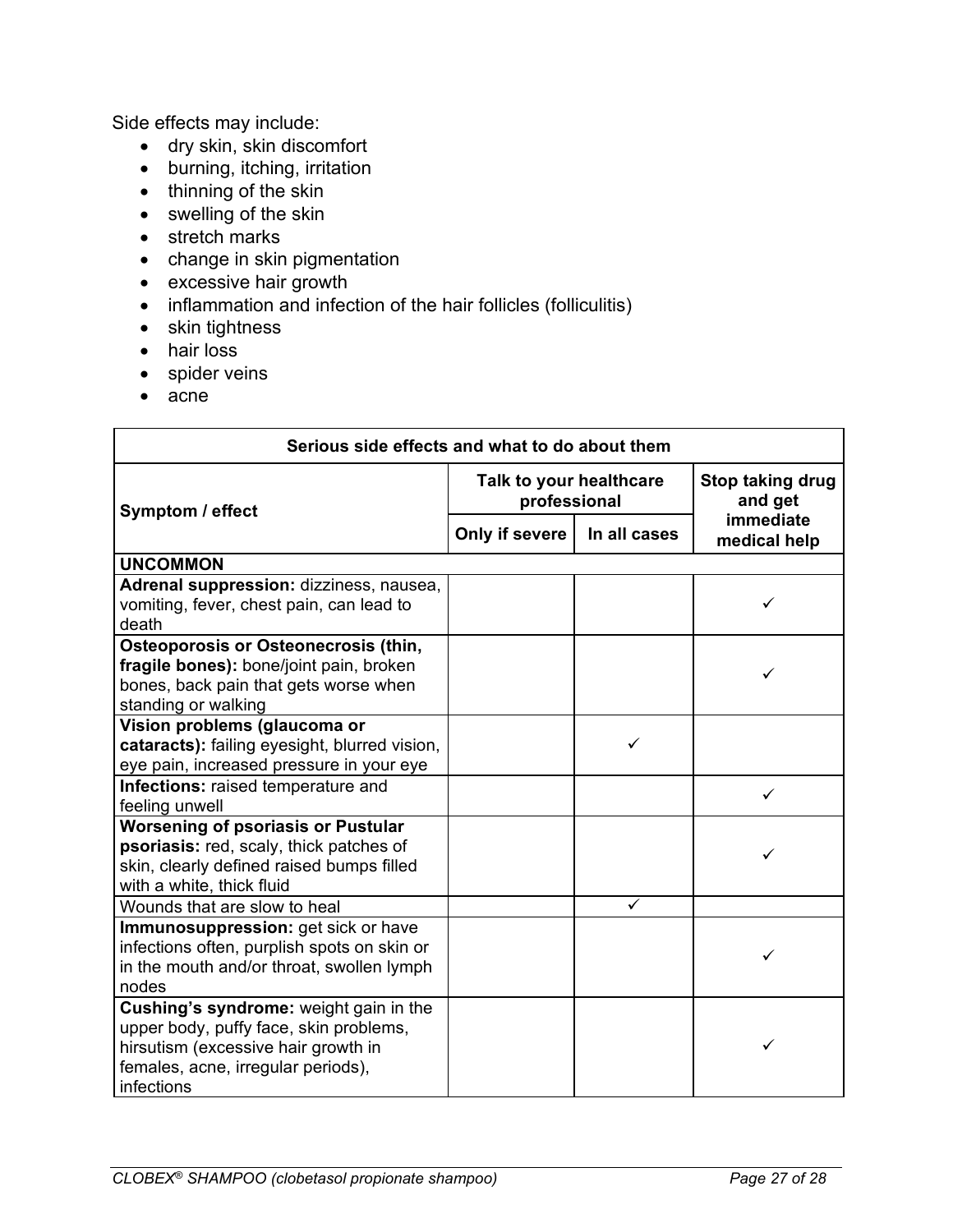Side effects may include:

- dry skin, skin discomfort
- burning, itching, irritation
- thinning of the skin
- swelling of the skin
- stretch marks
- change in skin pigmentation
- excessive hair growth
- inflammation and infection of the hair follicles (folliculitis)
- skin tightness
- hair loss
- spider veins
- acne

| Serious side effects and what to do about them                                                                                                                              |                                         |              |                             |
|-----------------------------------------------------------------------------------------------------------------------------------------------------------------------------|-----------------------------------------|--------------|-----------------------------|
| Symptom / effect                                                                                                                                                            | Talk to your healthcare<br>professional |              | Stop taking drug<br>and get |
|                                                                                                                                                                             | Only if severe                          | In all cases | immediate<br>medical help   |
| <b>UNCOMMON</b>                                                                                                                                                             |                                         |              |                             |
| Adrenal suppression: dizziness, nausea,<br>vomiting, fever, chest pain, can lead to<br>death                                                                                |                                         |              | ✓                           |
| Osteoporosis or Osteonecrosis (thin,<br>fragile bones): bone/joint pain, broken<br>bones, back pain that gets worse when<br>standing or walking                             |                                         |              |                             |
| Vision problems (glaucoma or<br>cataracts): failing eyesight, blurred vision,<br>eye pain, increased pressure in your eye                                                   |                                         | ✓            |                             |
| Infections: raised temperature and<br>feeling unwell                                                                                                                        |                                         |              | ✓                           |
| <b>Worsening of psoriasis or Pustular</b><br>psoriasis: red, scaly, thick patches of<br>skin, clearly defined raised bumps filled<br>with a white, thick fluid              |                                         |              |                             |
| Wounds that are slow to heal                                                                                                                                                |                                         | ✓            |                             |
| Immunosuppression: get sick or have<br>infections often, purplish spots on skin or<br>in the mouth and/or throat, swollen lymph<br>nodes                                    |                                         |              |                             |
| Cushing's syndrome: weight gain in the<br>upper body, puffy face, skin problems,<br>hirsutism (excessive hair growth in<br>females, acne, irregular periods),<br>infections |                                         |              | ✓                           |